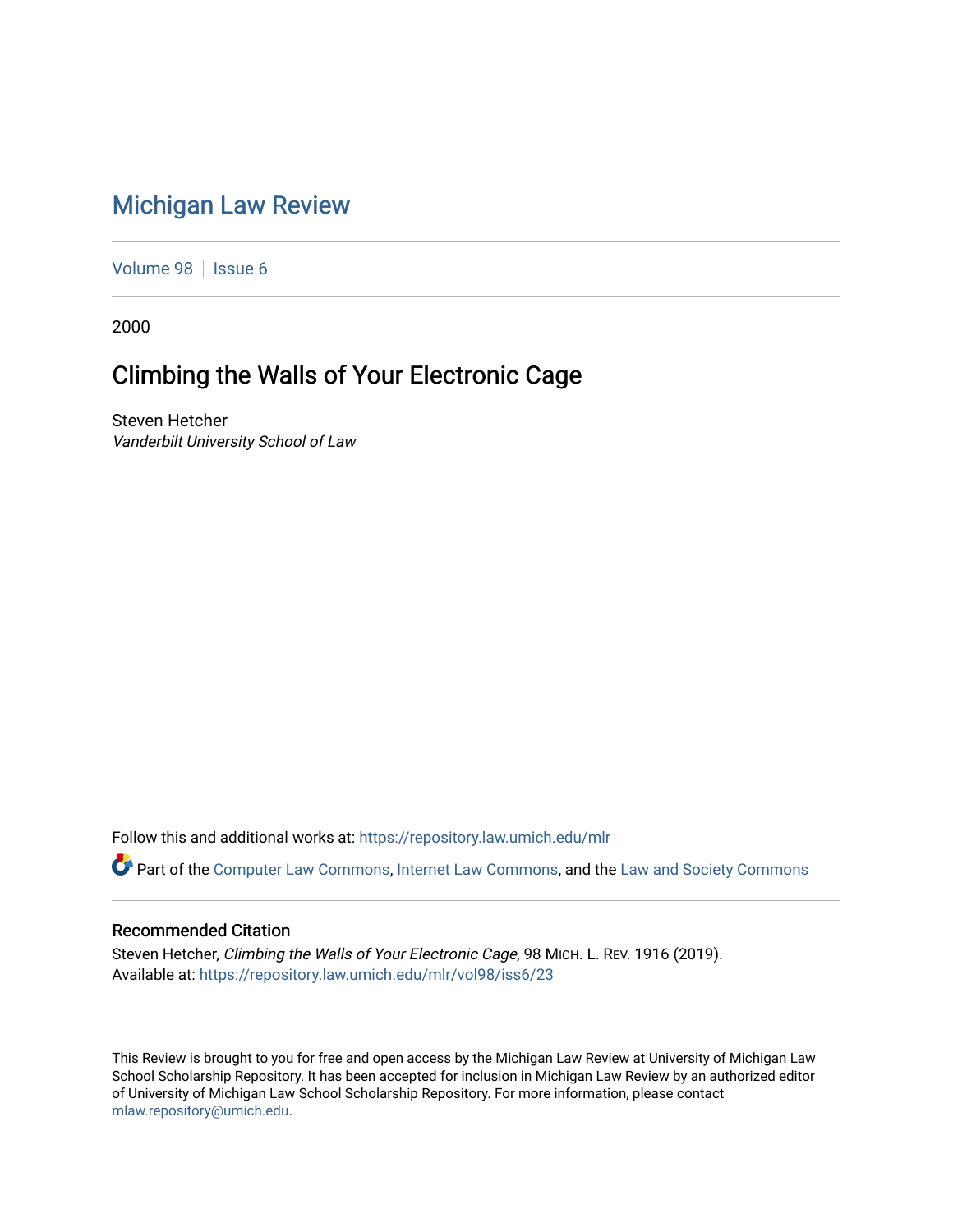# [Michigan Law Review](https://repository.law.umich.edu/mlr)

[Volume 98](https://repository.law.umich.edu/mlr/vol98) | [Issue 6](https://repository.law.umich.edu/mlr/vol98/iss6)

2000

## Climbing the Walls of Your Electronic Cage

Steven Hetcher Vanderbilt University School of Law

Follow this and additional works at: [https://repository.law.umich.edu/mlr](https://repository.law.umich.edu/mlr?utm_source=repository.law.umich.edu%2Fmlr%2Fvol98%2Fiss6%2F23&utm_medium=PDF&utm_campaign=PDFCoverPages) 

Part of the [Computer Law Commons,](http://network.bepress.com/hgg/discipline/837?utm_source=repository.law.umich.edu%2Fmlr%2Fvol98%2Fiss6%2F23&utm_medium=PDF&utm_campaign=PDFCoverPages) [Internet Law Commons,](http://network.bepress.com/hgg/discipline/892?utm_source=repository.law.umich.edu%2Fmlr%2Fvol98%2Fiss6%2F23&utm_medium=PDF&utm_campaign=PDFCoverPages) and the [Law and Society Commons](http://network.bepress.com/hgg/discipline/853?utm_source=repository.law.umich.edu%2Fmlr%2Fvol98%2Fiss6%2F23&utm_medium=PDF&utm_campaign=PDFCoverPages) 

## Recommended Citation

Steven Hetcher, Climbing the Walls of Your Electronic Cage, 98 MICH. L. REV. 1916 (2019). Available at: [https://repository.law.umich.edu/mlr/vol98/iss6/23](https://repository.law.umich.edu/mlr/vol98/iss6/23?utm_source=repository.law.umich.edu%2Fmlr%2Fvol98%2Fiss6%2F23&utm_medium=PDF&utm_campaign=PDFCoverPages) 

This Review is brought to you for free and open access by the Michigan Law Review at University of Michigan Law School Scholarship Repository. It has been accepted for inclusion in Michigan Law Review by an authorized editor of University of Michigan Law School Scholarship Repository. For more information, please contact [mlaw.repository@umich.edu.](mailto:mlaw.repository@umich.edu)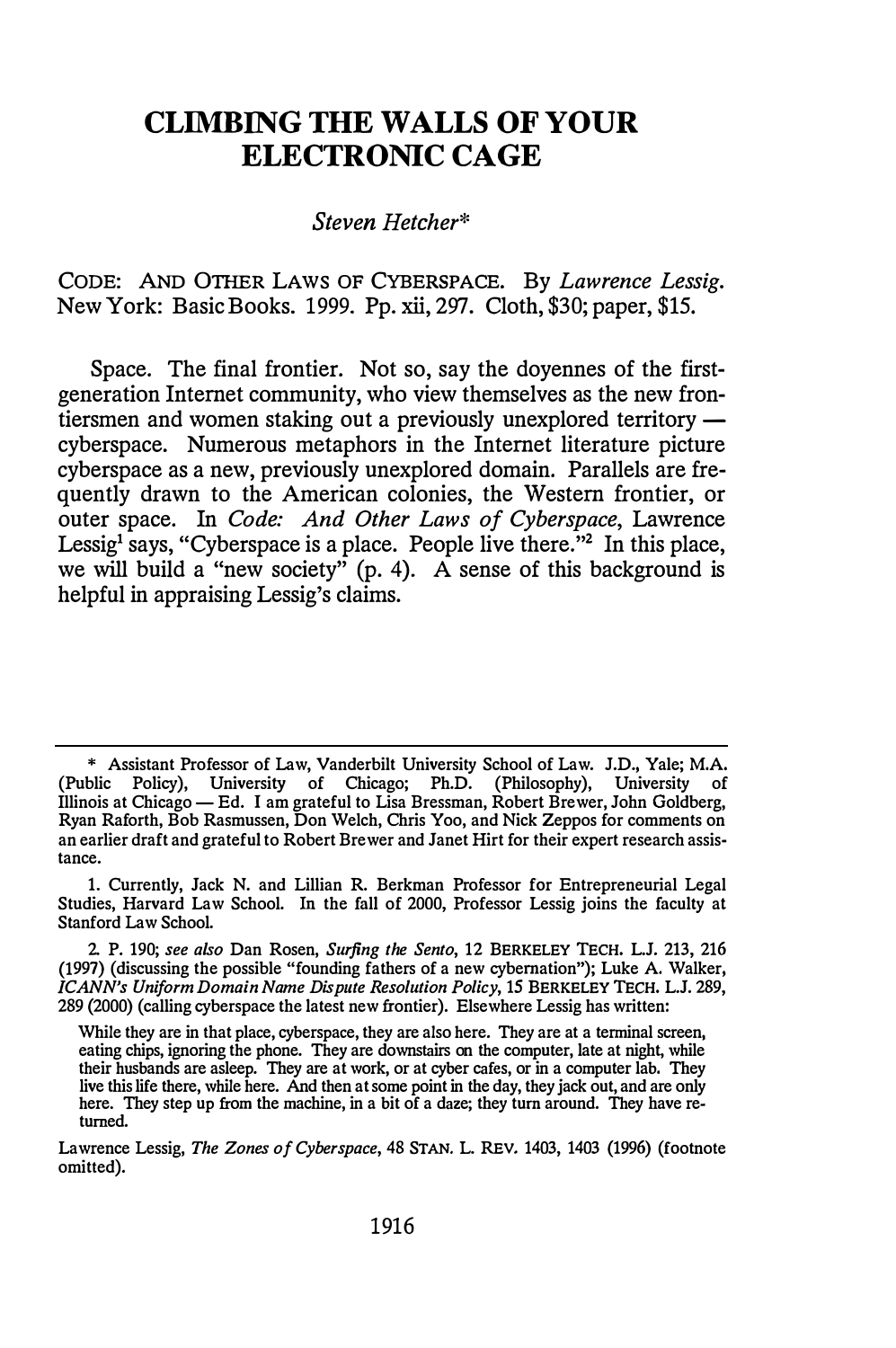## CLIMBING THE WALLS OF YOUR ELECTRONIC CAGE

### Steven Hetcher\*

CODE: AND OTHER LAWS OF CYBERSPACE. By Lawrence Lessig. New York: Basic Books. 1999. Pp. xii, 297. Cloth, \$30; paper, \$15.

Space. The final frontier. Not so, say the doyennes of the firstgeneration Internet community, who view themselves as the new frontiersmen and women staking out a previously unexplored territory  $$ cyberspace. Numerous metaphors in the Internet literature picture cyberspace as a new, previously unexplored domain. Parallels are frequently drawn to the American colonies, the Western frontier, or outer space. In Code: And Other Laws of Cyberspace, Lawrence Lessig<sup>1</sup> says, "Cyberspace is a place. People live there."<sup>2</sup> In this place, we will build a "new society"  $(p. 4)$ . A sense of this background is helpful in appraising Lessig's claims.

1. Currently, Jack N. and Lillian R. Berkman Professor for Entrepreneurial Legal Studies, Harvard Law School. In the fall of 2000, Professor Lessig joins the faculty at Stanford Law School.

2. P. 190; see also Dan Rosen, Surfing the Sento, 12 BERKELEY TECH. L.J. 213, 216 (1997) (discussing the possible "founding fathers of a new cybernation"); Luke A. Walker, ICANN's Uniform Domain Name Displlte Resolution Policy, 15 BERKELEY TECH. L.J. 289, 289 (2000) (calling cyberspace the latest new frontier). Elsewhere Lessig has written:

While they are in that place, cyberspace, they are also here. They are at a terminal screen, eating chips, ignoring the phone. They are downstairs on the computer, late at night, while their husbands are asleep. They are at work, or at cyber cafes, or in a computer lab. They live this life there, while here. And then at some point in the day, they jack out, and are only here. They step up from the machine, in a bit of a daze; they tum around. They have returned.

<sup>\*</sup> Assistant Professor of Law, Vanderbilt University School of Law. J.D., Yale; M.A. (Public Policy), University of Chicago; Ph.D. (Philosophy), University of Illinois at Chicago — Ed. I am grateful to Lisa Bressman, Robert Brewer, John Goldberg, Ryan Raforth, Bob Rasmussen, Don Welch, Chris Yoo, and Nick Zeppos for comments on an earlier draft and grateful to Robert Brewer and Janet Hirt for their expert research assistance.

Lawrence Lessig, The Zones of Cyberspace, 48 STAN. L. REV. 1403, 1403 (1996) (footnote omitted).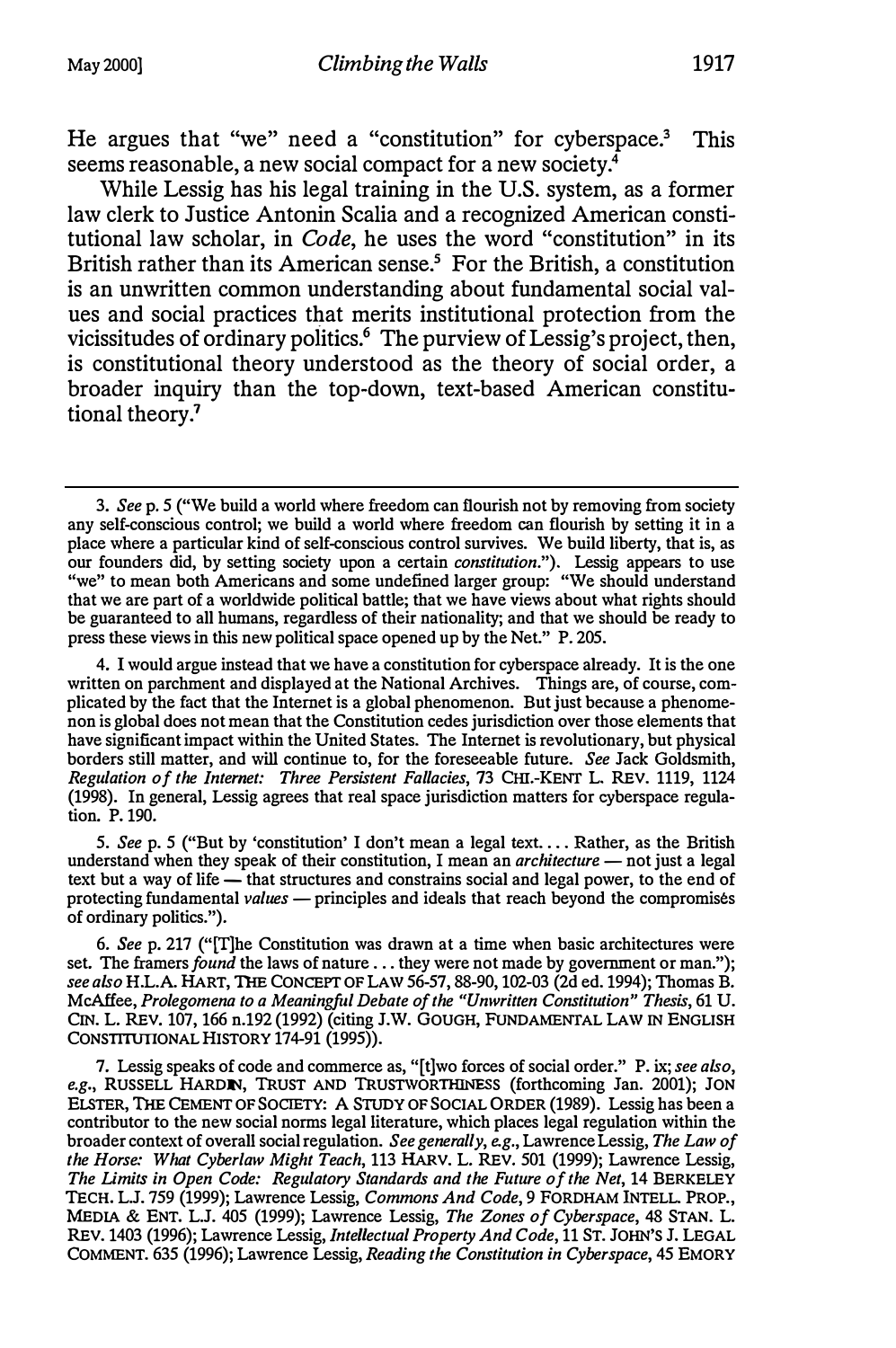He argues that "we" need a "constitution" for cyberspace.<sup>3</sup> This seems reasonable, a new social compact for a new society.<sup>4</sup>

While Lessig has his legal training in the U.S. system, as a former law clerk to Justice Antonin Scalia and a recognized American constitutional law scholar, in Code, he uses the word "constitution" in its British rather than its American sense.<sup>5</sup> For the British, a constitution is an unwritten common understanding about fundamental social values and social practices that merits institutional protection from the vicissitudes of ordinary politics.<sup>6</sup> The purview of Lessig's project, then, is constitutional theory understood as the theory of social order, a broader inquiry than the top-down, text-based American constitutional theory.<sup>7</sup>

4. I would argue instead that we have a constitution for cyberspace already. It is the one written on parchment and displayed at the National Archives. Things are, of course, complicated by the fact that the Internet is a global phenomenon. But just because a phenomenon is global does not mean that the Constitution cedes jurisdiction over those elements that have significant impact within the United States. The Internet is revolutionary, but physical borders still matter, and will continue to, for the foreseeable future. See Jack Goldsmith, Regulation of the Internet: Three Persistent Fallacies, 73 CHI.-KENT L. REV. 1119, 1124 (1998). In general, Lessig agrees that real space jurisdiction matters for cyberspace regulation. P. 190.

5. See p. 5 ("But by 'constitution' I don't mean a legal text .. .. Rather, as the British understand when they speak of their constitution, I mean an *architecture*  $-$  not just a legal text but a way of life — that structures and constrains social and legal power, to the end of protecting fundamental values — principles and ideals that reach beyond the compromises of ordinary politics. ").

6. See p. 217 ("[T]he Constitution was drawn at a time when basic architectures were set. The framers found the laws of nature ... they were not made by government or man."); see also H.L.A. HART, THE CONCEPT OF LAW 56-57, 88-90, 102-03 (2d ed. 1994); Thomas B. McAffee, Prolegomena to a Meaningful Debate of the "Unwritten Constitution" Thesis, 61 U. CIN. L. REV. 107, 166 n.192 (1992) (citing J.W. GOUGH, FuNDAMENTAL LAW IN ENGLISH CONSTITUTIONAL HISTORY 174-91 (1995).

7. Lessig speaks of code and commerce as, "[t]wo forces of social order." P. ix; see also, e.g., RUSSELL HARDIN, TRUST AND TRUSTWORTHINESS (forthcoming Jan. 2001); JON ELSTER, THE CEMENT OF SOCIETY: A STUDY OF SOCIAL ORDER (1989). Lessig has been a contributor to the new social norms legal literature, which places legal regulation within the broader context of overall social regulation. See generally, e.g., Lawrence Lessig, The Law of the Horse: What Cyberlaw Might Teach, 113 HARV. L. REV. 501 (1999); Lawrence Lessig, The Limits in Open Code: Regulatory Standards and the Future of the Net, 14 BERKELEY TECH. L.J. 759 (1999); Lawrence Lessig, Commons And Code, 9 FORDHAM INTELL. PROP., MEDIA & ENT. L. J. 405 (1999); Lawrence Lessig, The Zones of Cyberspace, 48 STAN. L. REV. 1403 (1996); Lawrence Lessig, Intellectual Property And Code, 11 ST. JOHN'S J. LEGAL COMMENT. 635 (1996); Lawrence Lessig, Reading the Constitution in Cyberspace, 45 EMORY

<sup>3.</sup> See p. 5 ("We build a world where freedom can flourish not by removing from society any self-conscious control; we build a world where freedom can flourish by setting it in a place where a particular kind of self-conscious control survives. We build liberty, that is, as our founders did, by setting society upon a certain constitution."). Lessig appears to use "we" to mean both Americans and some undefined larger group: "We should understand that we are part of a worldwide political battle; that we have views about what rights should be guaranteed to all humans, regardless of their nationality; and that we should be ready to press these views in this new political space opened up by the Net. " P. 205.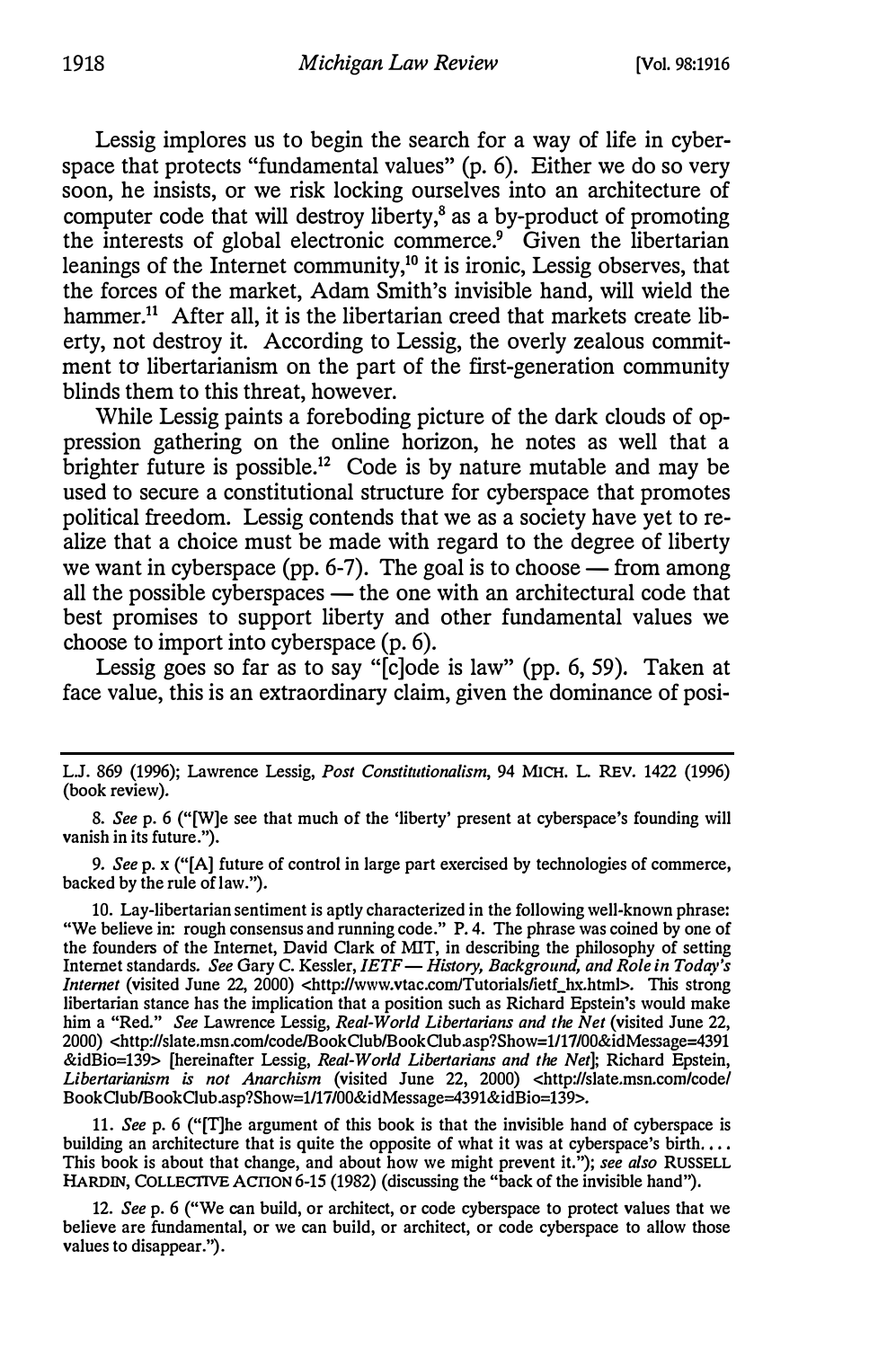Lessig implores us to begin the search for a way of life in cyberspace that protects "fundamental values" (p. 6). Either we do so very soon, he insists, or we risk locking ourselves into an architecture of computer code that will destroy liberty,<sup>8</sup> as a by-product of promoting the interests of global electronic commerce.<sup>9</sup> Given the libertarian leanings of the Internet community,<sup>10</sup> it is ironic, Lessig observes, that the forces of the market, Adam Smith's invisible hand, will wield the hammer.<sup>11</sup> After all, it is the libertarian creed that markets create liberty, not destroy it. According to Lessig, the overly zealous commitment to libertarianism on the part of the first-generation community blinds them to this threat, however.

While Lessig paints a foreboding picture of the dark clouds of oppression gathering on the online horizon, he notes as well that a brighter future is possible.<sup>12</sup> Code is by nature mutable and may be used to secure a constitutional structure for cyberspace that promotes political freedom. Lessig contends that we as a society have yet to realize that a choice must be made with regard to the degree of liberty we want in cyberspace (pp.  $6-7$ ). The goal is to choose  $-$  from among all the possible cyberspaces  $-$  the one with an architectural code that best promises to support liberty and other fundamental values we choose to import into cyberspace (p. 6).

Lessig goes so far as to say "[c]ode is law" (pp. 6, 59). Taken at face value, this is an extraordinary claim, given the dominance of posi-

11. See p. 6 ("[T]he argument of this book is that the invisible hand of cyberspace is building an architecture that is quite the opposite of what it was at cyberspace's birth.... This book is about that change, and about how we might prevent it."); see also RUSSELL HARDIN, COLLECTIVE ACTION 6-15 (1982) (discussing the "back of the invisible hand").

12. See p. 6 ("We can build, or architect, or code cyberspace to protect values that we believe are fundamental, or we can build, or architect, or code cyberspace to allow those values to disappear.").

L.J. 869 (1996); Lawrence Lessig, Post Constitutionalism, 94 MICH. L. REV. 1422 (1996) (book review).

<sup>8.</sup> See p. 6 ("[W]e see that much of the 'liberty' present at cyberspace's founding will vanish in its future.").

<sup>9.</sup> See p. x ("[A] future of control in large part exercised by technologies of commerce, backed by the rule of law.").

<sup>10.</sup> Lay-libertarian sentiment is aptly characterized in the following well-known phrase: "We believe in: rough consensus and running code." P. 4. The phrase was coined by one of the founders of the Internet, David Clark of MIT, in describing the philosophy of setting Internet standards. See Gary C. Kessler, IETF-History, Background, and Role in Today's Internet (visited June 22, 2000) <http://www.vtac.com!Tutorials/ietf\_hx.html>. This strong libertarian stance has the implication that a position such as Richard Epstein's would make him a "Red." See Lawrence Lessig, Real-World Libertarians and the Net (visited June 22, 2000) <http://slate.msn.com/code/BookClub/BookClub.asp?Show=1/17/00&idMessage=4391 &idBio=139> [hereinafter Lessig, Real-World Libertarians and the Net]; Richard Epstein, Libertarianism is not Anarchism (visited June 22, 2000) <http://slate.msn.com/code/ BookClub/BookClub.asp?Show=1/17/00&idMessage=439l&idBio=139>.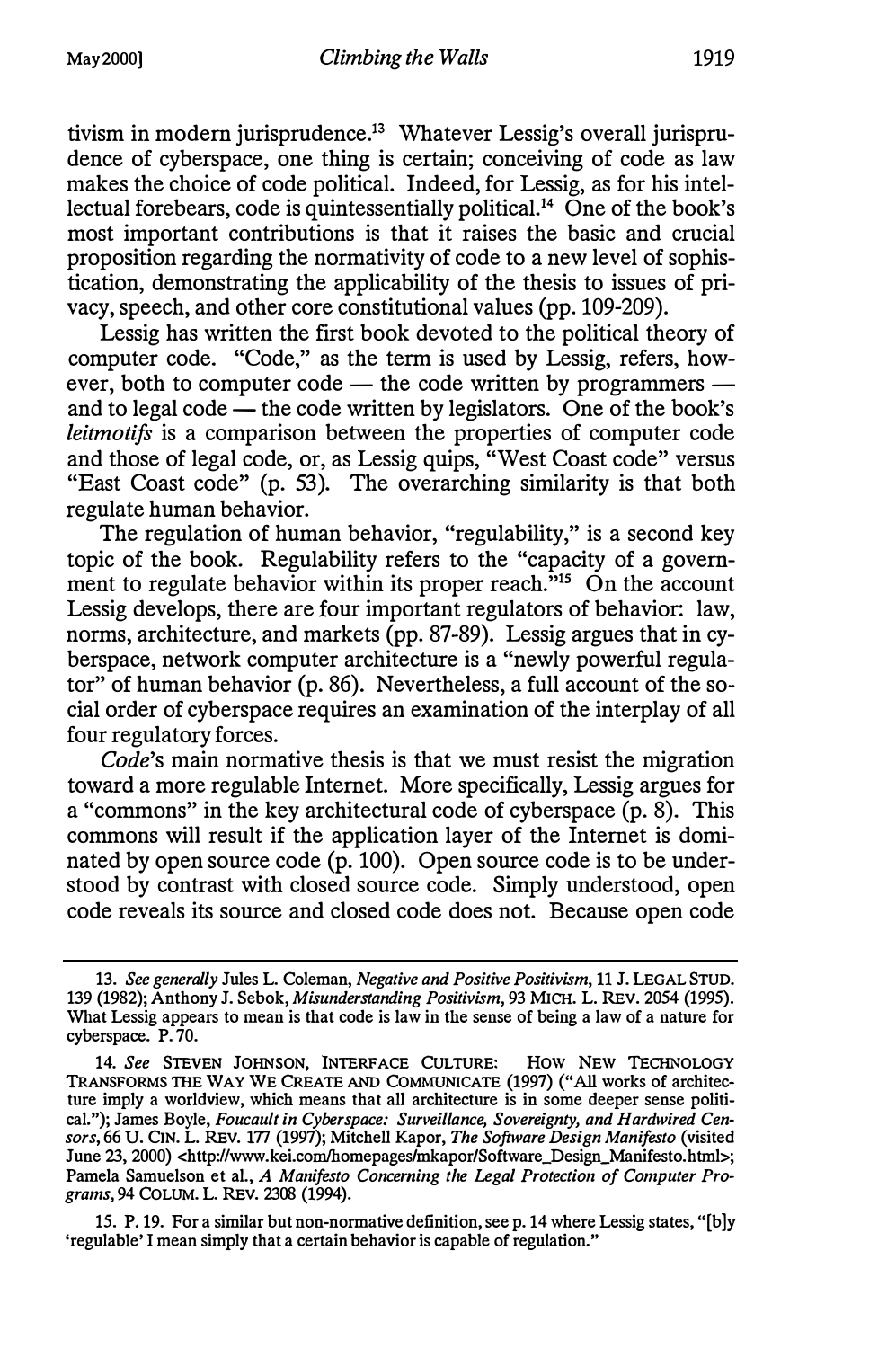tivism in modern jurisprudence.13 Whatever Lessig's overall jurisprudence of cyberspace, one thing is certain; conceiving of code as law makes the choice of code political. Indeed, for Lessig, as for his intellectual forebears, code is quintessentially political.<sup>14</sup> One of the book's most important contributions is that it raises the basic and crucial proposition regarding the normativity of code to a new level of sophistication, demonstrating the applicability of the thesis to issues of privacy, speech, and other core constitutional values (pp. 109-209).

Lessig has written the first book devoted to the political theory of computer code. "Code," as the term is used by Lessig, refers, however, both to computer code  $-$  the code written by programmers  $$ and to legal code  $\frac{1}{x}$  the code written by legislators. One of the book's leitmotifs is a comparison between the properties of computer code and those of legal code, or, as Lessig quips, "West Coast code" versus "East Coast code" (p. 53). The overarching similarity is that both regulate human behavior.

The regulation of human behavior, "regulability," is a second key topic of the book. Regulability refers to the "capacity of a government to regulate behavior within its proper reach.<sup>315</sup> On the account Lessig develops, there are four important regulators of behavior: law, norms, architecture, and markets (pp. 87-89). Lessig argues that in cyberspace, network computer architecture is a "newly powerful regulator" of human behavior (p. 86). Nevertheless, a full account of the social order of cyberspace requires an examination of the interplay of all four regulatory forces.

Code's main normative thesis is that we must resist the migration toward a more regulable Internet. More specifically, Lessig argues for a "commons" in the key architectural code of cyberspace  $(p, 8)$ . This commons will result if the application layer of the Internet is dominated by open source code (p. 100). Open source code is to be understood by contrast with closed source code. Simply understood, open code reveals its source and closed code does not. Because open code

15. P. 19. For a similar but non-normative definition, see p. 14 where Lessig states, "[b]y 'regulable' I mean simply that a certain behavior is capable of regulation."

<sup>13.</sup> See generally Jules L. Coleman, Negative and Positive Positivism, 11 J. LEGAL STUD. 139 (1982); Anthony J. Sebok, Misunderstanding Positivism, 93 MICH. L. REV. 2054 (1995). What Lessig appears to mean is that code is law in the sense of being a law of a nature for cyberspace. P. 70.

<sup>14.</sup> See STEVEN JOHNSON, INTERFACE CULTURE: HOW NEW TECHNOLOGY TRANSFORMS THE WAY WE CREATE AND COMMUNICATE (1997) ("All works of architecture imply a worldview, which means that all architecture is in some deeper sense political."); James Boyle, Foucault in Cyberspace: Surveillance, Sovereignty, and Hardwired Censors, 66 U. CIN. L. REV. 177 (1997); Mitchell Kapor, The Software Design Manifesto (visited June 23, 2000) <http://www.kei.com/homepages/mkapor/Software\_Design\_Manifesto.html>; Pamela Samuelson et al., A Manifesto Concerning the Legal Protection of Computer Programs, 94 COLUM. L. REV. 2308 (1994).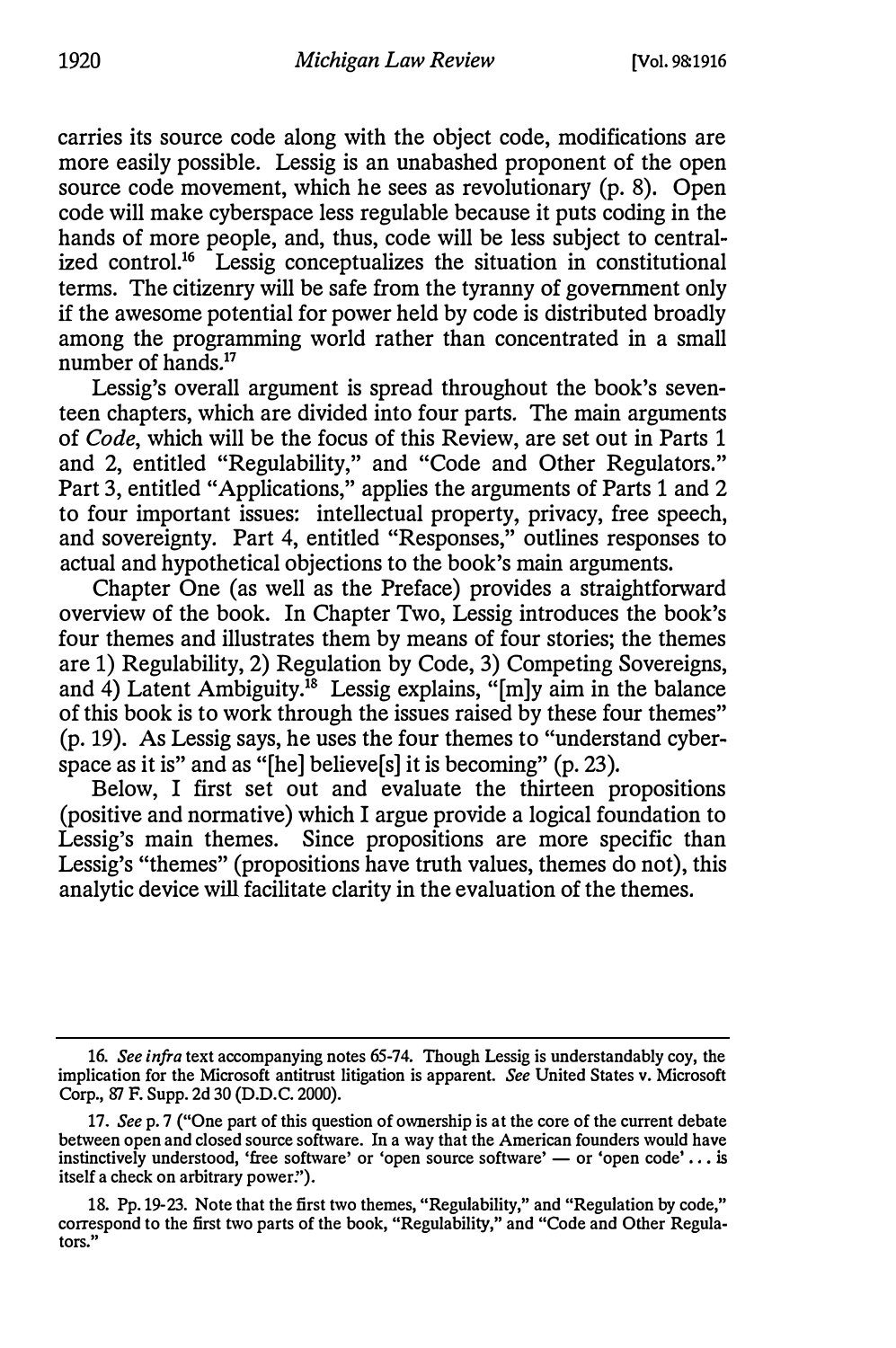carries its source code along with the object code, modifications are more easily possible. Lessig is an unabashed proponent of the open source code movement, which he sees as revolutionary (p. 8). Open code will make cyberspace less regulable because it puts coding in the hands of more people, and, thus, code will be less subject to centralized control.<sup>16</sup> Lessig conceptualizes the situation in constitutional terms. The citizenry will be safe from the tyranny of government only if the awesome potential for power held by code is distributed broadly among the programming world rather than concentrated in a small number of hands.<sup>17</sup>

Lessig's overall argument is spread throughout the book's seventeen chapters, which are divided into four parts. The main arguments of Code, which will be the focus of this Review, are set out in Parts 1 and 2, entitled "Regulability," and "Code and Other Regulators." Part 3, entitled "Applications," applies the arguments of Parts 1 and 2 to four important issues: intellectual property, privacy, free speech, and sovereignty. Part 4, entitled "Responses," outlines responses to actual and hypothetical objections to the book's main arguments.

Chapter One (as well as the Preface) provides a straightforward overview of the book. In Chapter Two, Lessig introduces the book's four themes and illustrates them by means of four stories; the themes are 1) Regulability, 2) Regulation by Code, 3) Competing Sovereigns, and 4) Latent Ambiguity.<sup>18</sup> Lessig explains, "[m]y aim in the balance of this book is to work through the issues raised by these four themes" (p. 19). As Lessig says, he uses the four themes to "understand cyberspace as it is" and as "[he] believe[s] it is becoming" (p. 23).

Below, I first set out and evaluate the thirteen propositions (positive and normative) which I argue provide a logical foundation to Lessig's main themes. Since propositions are more specific than Lessig's "themes" (propositions have truth values, themes do not), this analytic device will facilitate clarity in the evaluation of the themes.

<sup>16.</sup> See infra text accompanying notes 65-74. Though Lessig is understandably coy, the implication for the Microsoft antitrust litigation is apparent. See United States v. Microsoft Corp., 87 F. Supp. 2d 30 {D. D.C. 2000).

<sup>17.</sup> See p. 7 ("One part of this question of ownership is at the core of the current debate between open and closed source software. In a way that the American founders would have instinctively understood, 'free software' or 'open source software'  $-$  or 'open code'... is itself a check on arbitrary power.").

<sup>18.</sup> Pp. 19-23. Note that the first two themes, "Regulability," and "Regulation by code," correspond to the first two parts of the book, "Regulability," and "Code and Other Regulators."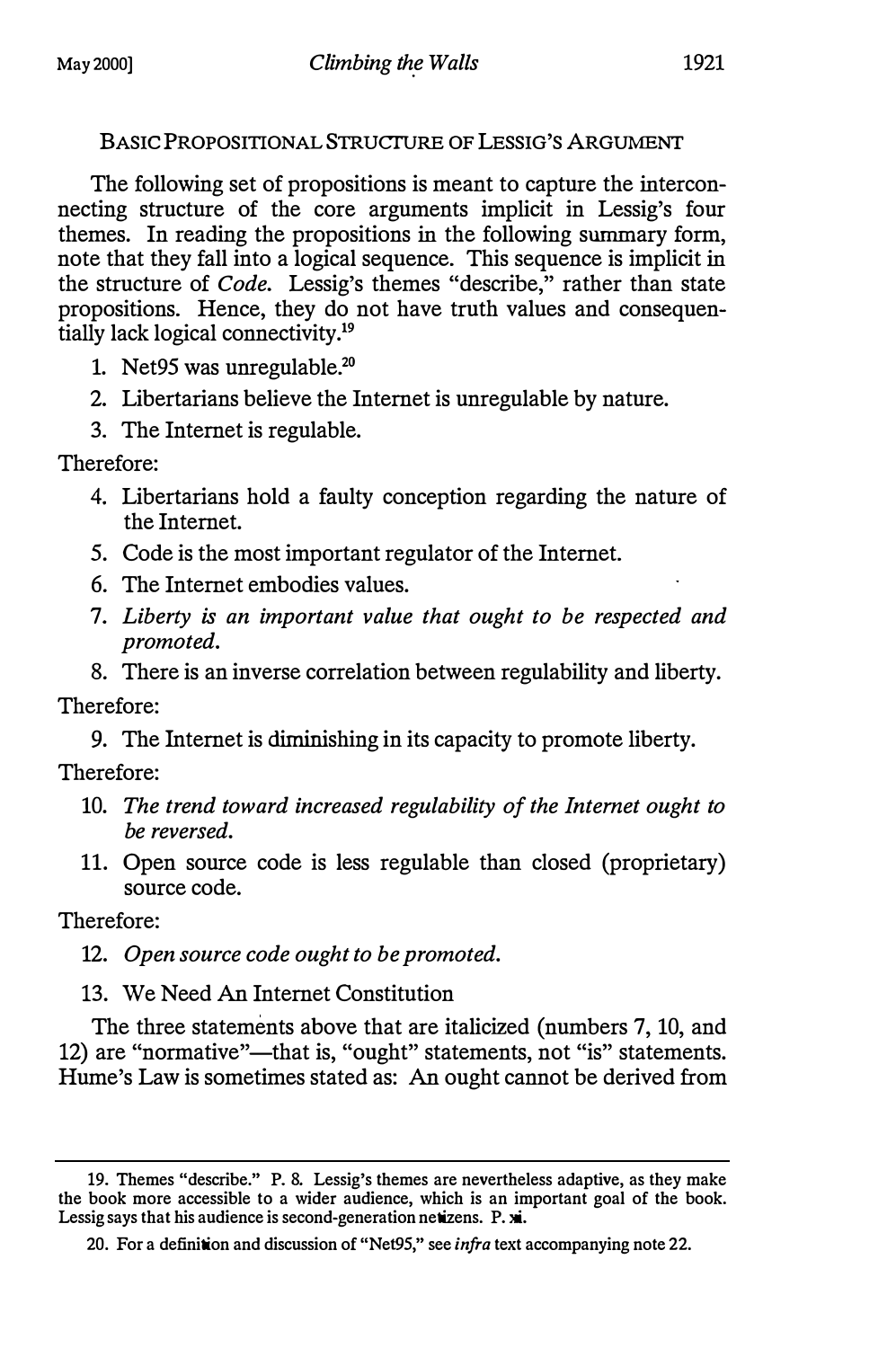### BASIC PROPOSITIONAL STRUCTURE OF LESSIG'S ARGUMENT

The following set of propositions is meant to capture the interconnecting structure of the core arguments implicit in Lessig's four themes. In reading the propositions in the following summary form, note that they fall into a logical sequence. This sequence is implicit in the structure of Code. Lessig's themes "describe," rather than state propositions. Hence, they do not have truth values and consequentially lack logical connectivity.19

1. Net95 was unregulable.20

- 2. Libertarians believe the Internet is unregulable by nature.
- 3. The Internet is regulable.

Therefore:

- 4. Libertarians hold a faulty conception regarding the nature of the Internet.
- 5. Code is the most important regulator of the Internet.
- 6. The Internet embodies values.
- 7. Liberty is an important value that ought to be respected and promoted.
- 8. There is an inverse correlation between regulability and liberty.

Therefore:

9. The Internet is diminishing in its capacity to promote liberty.

Therefore:

- 10. The trend toward increased regulability of the Internet ought to be reversed.
- 11. Open source code is less regulable than closed (proprietary) source code.

Therefore:

- 12. Open source code ought to be promoted.
- 13. We Need An Internet Constitution

The three statements above that are italicized (numbers 7, 10, and 12) are "normative"—that is, "ought" statements, not "is" statements. Hume's Law is sometimes stated as: An ought cannot be derived from

<sup>19.</sup> Themes "describe." P. 8. Lessig's themes are nevertheless adaptive, as they make the book more accessible to a wider audience, which is an important goal of the book. Lessig says that his audience is second-generation netizens. P. xi.

<sup>20.</sup> For a definition and discussion of "Net95," see *infra* text accompanying note 22.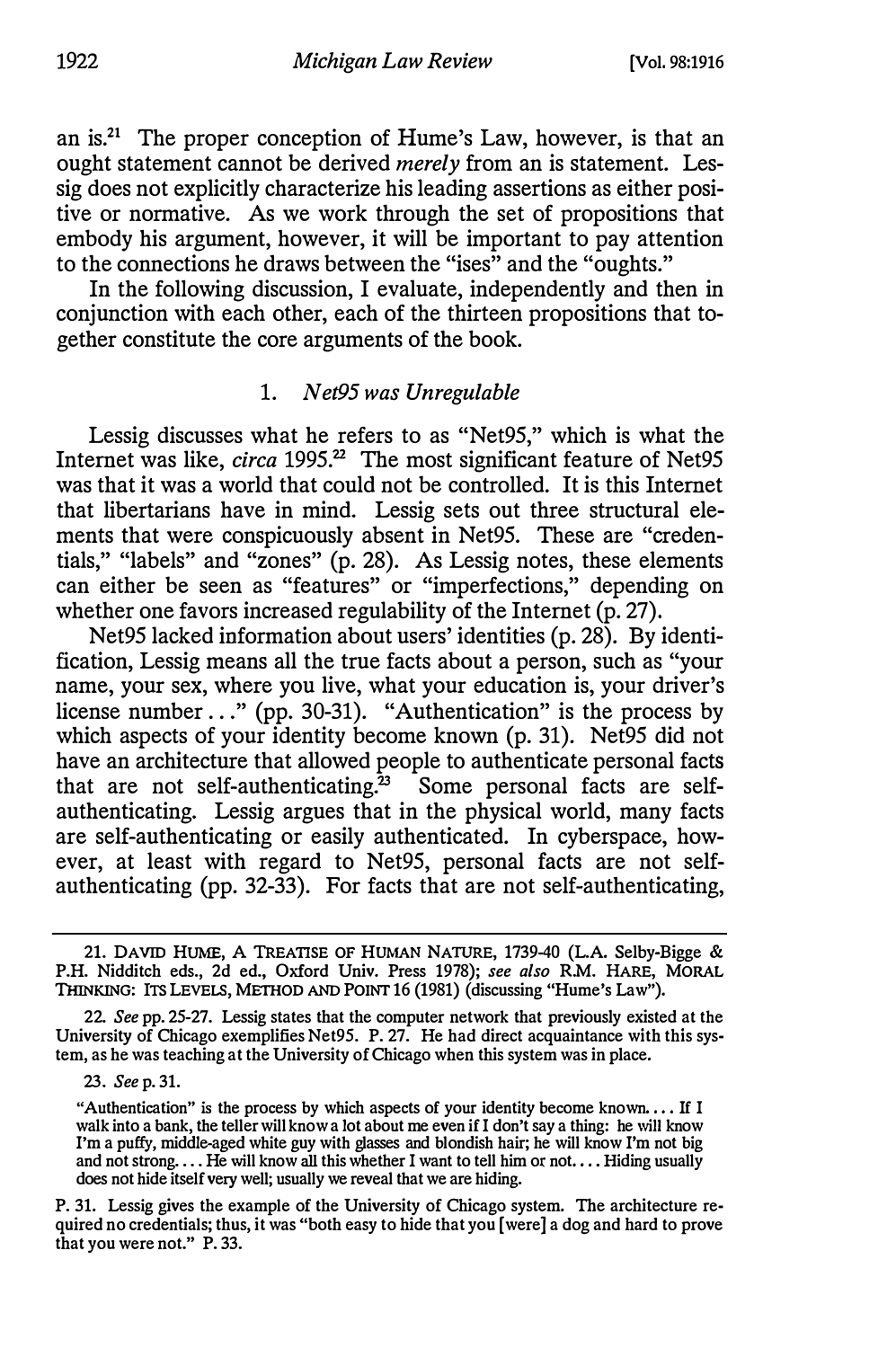an is.21 The proper conception of Hume's Law, however, is that an ought statement cannot be derived *merely* from an is statement. Lessig does not explicitly characterize his leading assertions as either positive or normative. As we work through the set of propositions that embody his argument, however, it will be important to pay attention to the connections he draws between the "ises" and the "oughts."

In the following discussion, I evaluate, independently and then in conjunction with each other, each of the thirteen propositions that together constitute the core arguments of the book.

#### 1. Net95 was Unregulable

Lessig discusses what he refers to as "Net95," which is what the Internet was like, *circa* 1995.<sup>22</sup> The most significant feature of Net95 was that it was a world that could not be controlled. It is this Internet that libertarians have in mind. Lessig sets out three structural elements that were conspicuously absent in Net95. These are "credentials," "labels" and "zones" (p. 28). As Lessig notes, these elements can either be seen as "features" or "imperfections," depending on whether one favors increased regulability of the Internet (p. 27).

Net95 lacked information about users' identities (p. 28). By identification, Lessig means all the true facts about a person, such as "your name, your sex, where you live, what your education is, your driver's license number ... " (pp. 30-31). "Authentication" is the process by which aspects of your identity become known (p. 31). Net95 did not have an architecture that allowed people to authenticate personal facts that are not self-authenticating.<sup>23</sup> Some personal facts are selfauthenticating. Lessig argues that in the physical world, many facts are self-authenticating or easily authenticated. In cyberspace, however, at least with regard to Net95, personal facts are not selfauthenticating (pp. 32-33). For facts that are not self-authenticating,

<sup>21.</sup> DAVID HUME, A TREATISE OF HUMAN NATURE, 1739-40 (L.A. Selby-Bigge & THINKING: ITS LEVELS, METHOD AND POINT 16 (1981) (discussing " Hume's Law"). P.H. Nidditch eds., 2d ed., Oxford Univ. Press 1978); see also R.M. HARE, MORAL

<sup>22.</sup> See pp. 25-27. Lessig states that the computer network that previously existed at the University of Chicago exemplifies Net95. P. 27. He had direct acquaintance with this system, as he was teaching at the University of Chicago when this system was in place.

<sup>23.</sup> See p. 31.

<sup>&</sup>quot;Authentication" is the process by which aspects of your identity become known.... If I walk into a bank, the teller will know a lot about me even if I don't say a thing: he will know I'm a puffy, middle-aged white guy with glasses and blondish hair; he will know I'm not big and not strong.... He will know all this whether I want to tell him or not.... Hiding usually does not hide itself very well; usually we reveal that we are hiding.

P. 31. Lessig gives the example of the University of Chicago system. The architecture required no credentials; thus, it was "both easy to hide that you [were] a dog and hard to prove that you were not." P. 33.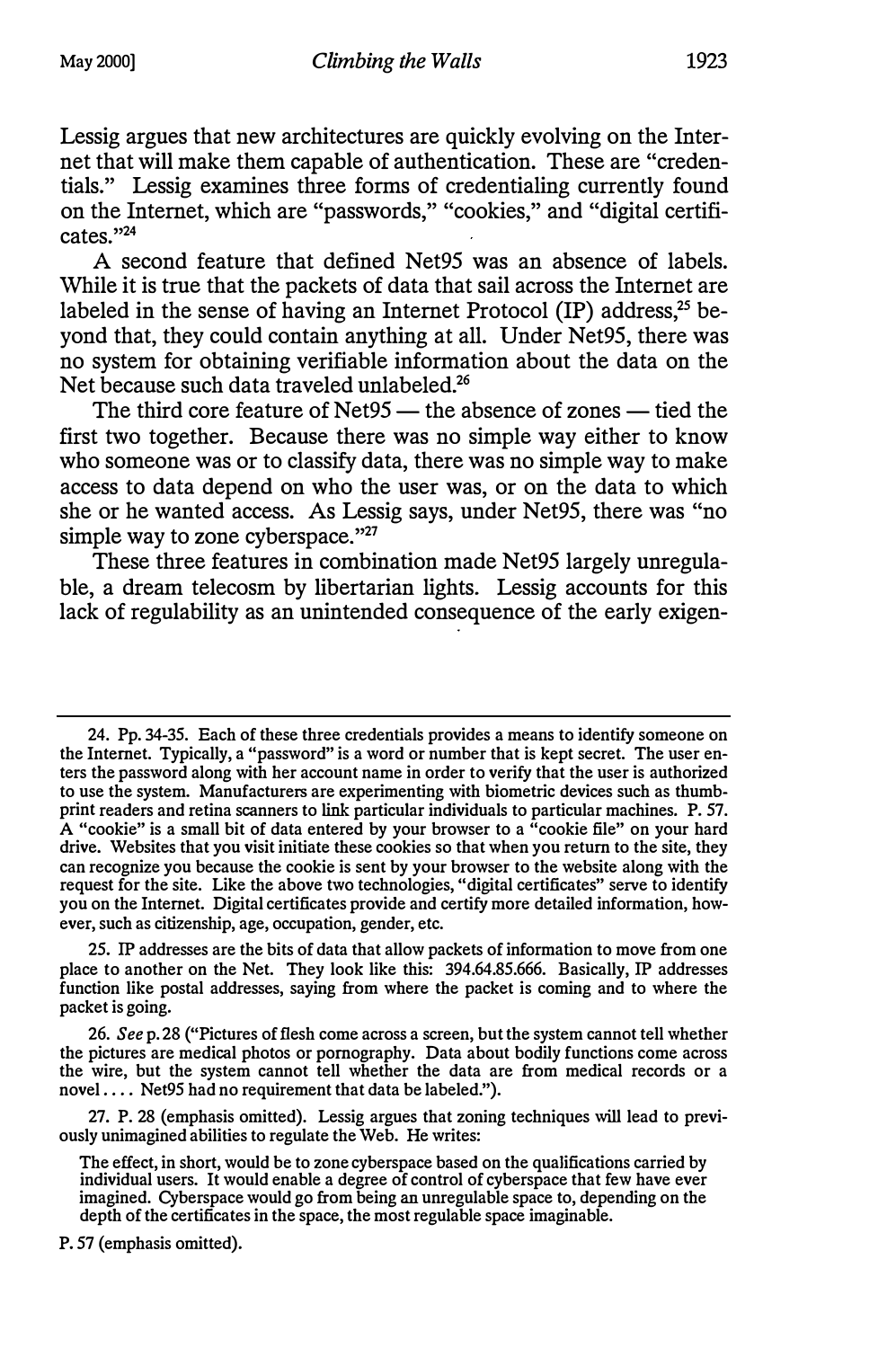Lessig argues that new architectures are quickly evolving on the Internet that will make them capable of authentication. These are "credentials." Lessig examines three forms of credentialing currently found on the Internet, which are "passwords," "cookies," and "digital certificates."24

A second feature that defined Net95 was an absence of labels. While it is true that the packets of data that sail across the Internet are labeled in the sense of having an Internet Protocol  $(IP)$  address,<sup>25</sup> beyond that, they could contain anything at all. Under Net95, there was no system for obtaining verifiable information about the data on the Net because such data traveled unlabeled.<sup>26</sup>

The third core feature of  $Net95$  — the absence of zones — tied the first two together. Because there was no simple way either to know who someone was or to classify data, there was no simple way to make access to data depend on who the user was, or on the data to which she or he wanted access. As Lessig says, under Net95, there was "no simple way to zone cyberspace."<sup>27</sup>

These three features in combination made Net95 largely unregulable, a dream telecosm by libertarian lights. Lessig accounts for this lack of regulability as an unintended consequence of the early exigen-

25. IP addresses are the bits of data that allow packets of information to move from one place to another on the Net. They look like this: 394.64.85.666. Basically, IP addresses function like postal addresses, saying from where the packet is coming and to where the packet is going.

26. See p. 28 ("Pictures of flesh come across a screen, but the system cannot tell whether the pictures are medical photos or pornography. Data about bodily functions come across the wire, but the system cannot tell whether the data are from medical records or a novel .... Net95 had no requirement that data be labeled.").

27. P. 28 (emphasis omitted). Lessig argues that zoning techniques will lead to previously unimagined abilities to regulate the Web. He writes:

P. 57 (emphasis omitted).

<sup>24.</sup> Pp. 34-35. Each of these three credentials provides a means to identify someone on the Internet. Typically, a "password" is a word or number that is kept secret. The user enters the password along with her account name in order to verify that the user is authori2ed to use the system. Manufacturers are experimenting with biometric devices such as thumbprint readers and retina scanners to link particular individuals to particular machines. P. 57. A "cookie" is a small bit of data entered by your browser to a "cookie file" on your hard drive. Websites that you visit initiate these cookies so that when you return to the site, they can recognize you because the cookie is sent by your browser to the website along with the request for the site. Like the above two technologies, "digital certificates" serve to identify you on the Internet. Digital certificates provide and certify more detailed information, however, such as citizenship, age, occupation, gender, etc.

The effect, in short, would be to zone cyberspace based on the qualifications carried by individual users. It would enable a degree of control of cyberspace that few have ever imagined. Cyberspace would go from being an unregulable space to, depending on the depth of the certificates in the space, the most regulable space imaginable.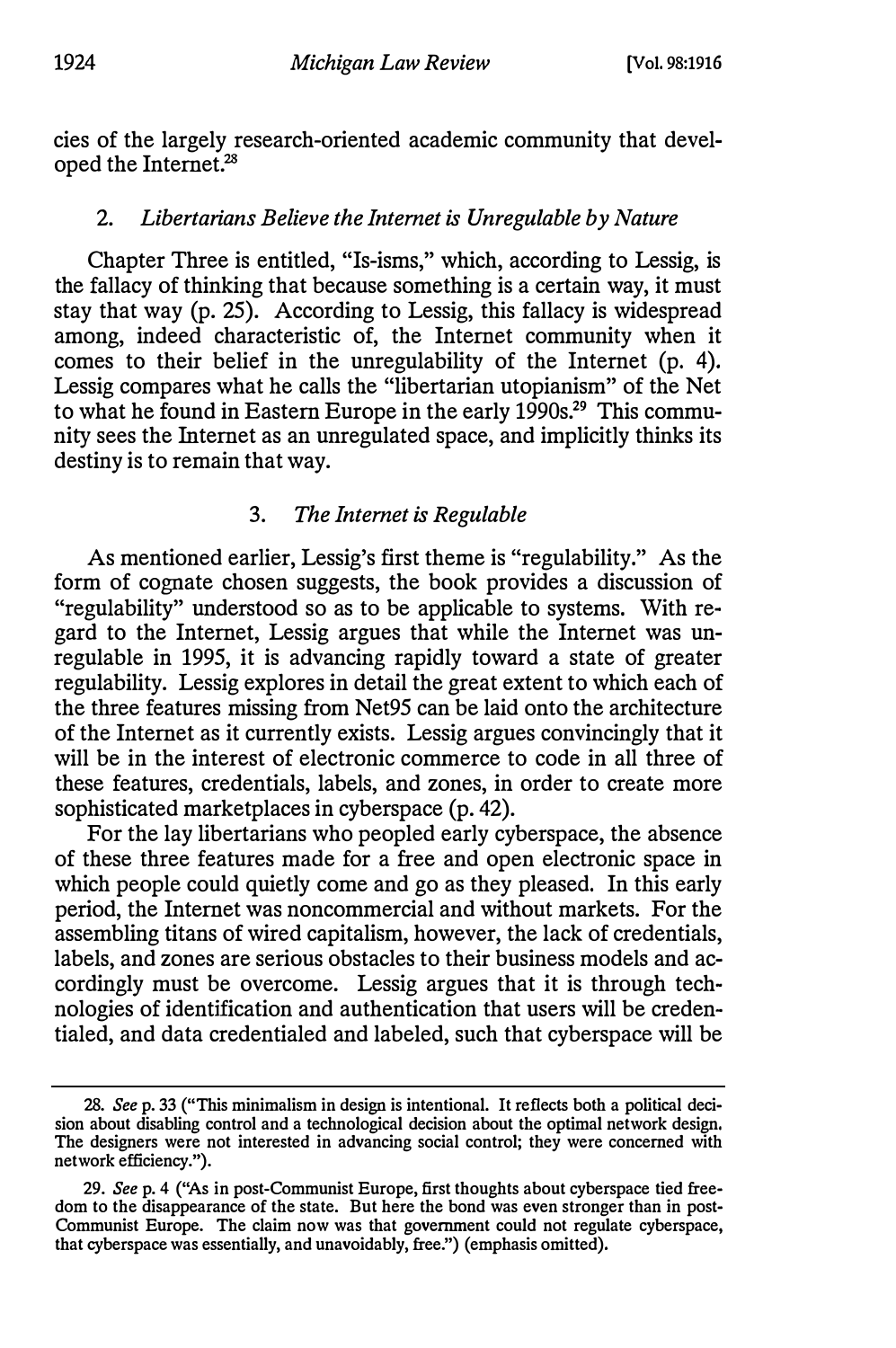cies of the largely research-oriented academic community that developed the Internet.<sup>28</sup>

#### 2. Libertarians Believe the Internet is Unregulable by Nature

Chapter Three is entitled, "Is-isms," which, according to Lessig, is the fallacy of thinking that because something is a certain way, it must stay that way (p. 25). According to Lessig, this fallacy is widespread among, indeed characteristic of, the Internet community when it comes to their belief in the unregulability of the Internet (p. 4). Lessig compares what he calls the "libertarian utopianism" of the Net to what he found in Eastern Europe in the early 1990s.<sup>29</sup> This community sees the Internet as an unregulated space, and implicitly thinks its destiny is to remain that way.

#### 3. The Internet is Regulable

As mentioned earlier, Lessig's first theme is "regulability." As the form of cognate chosen suggests, the book provides a discussion of "regulability" understood so as to be applicable to systems. With regard to the Internet, Lessig argues that while the Internet was unregulable in 1995, it is advancing rapidly toward a state of greater regulability. Lessig explores in detail the great extent to which each of the three features missing from Net95 can be laid onto the architecture of the Internet as it currently exists. Lessig argues convincingly that it will be in the interest of electronic commerce to code in all three of these features, credentials, labels, and zones, in order to create more sophisticated marketplaces in cyberspace (p. 42).

For the lay libertarians who peopled early cyberspace, the absence of these three features made for a free and open electronic space in which people could quietly come and go as they pleased. In this early period, the Internet was noncommercial and without markets. For the assembling titans of wired capitalism, however, the lack of credentials, labels, and zones are serious obstacles to their business models and accordingly must be overcome. Lessig argues that it is through technologies of identification and authentication that users will be credentialed, and data credentialed and labeled, such that cyberspace will be

<sup>28.</sup> Seep. 33 ("This minimalism in design is intentional. It reflects both a political decision about disabling control and a technological decision about the optimal network design. The designers were not interested in advancing social control; they were concerned with network efficiency.").

<sup>29.</sup> Seep. 4 ("As in post-Communist Europe, first thoughts about cyberspace tied freedom to the disappearance of the state. But here the bond was even stronger than in post-Communist Europe. The claim now was that government could not regulate cyberspace, that cyberspace was essentially, and unavoidably, free.") (emphasis omitted).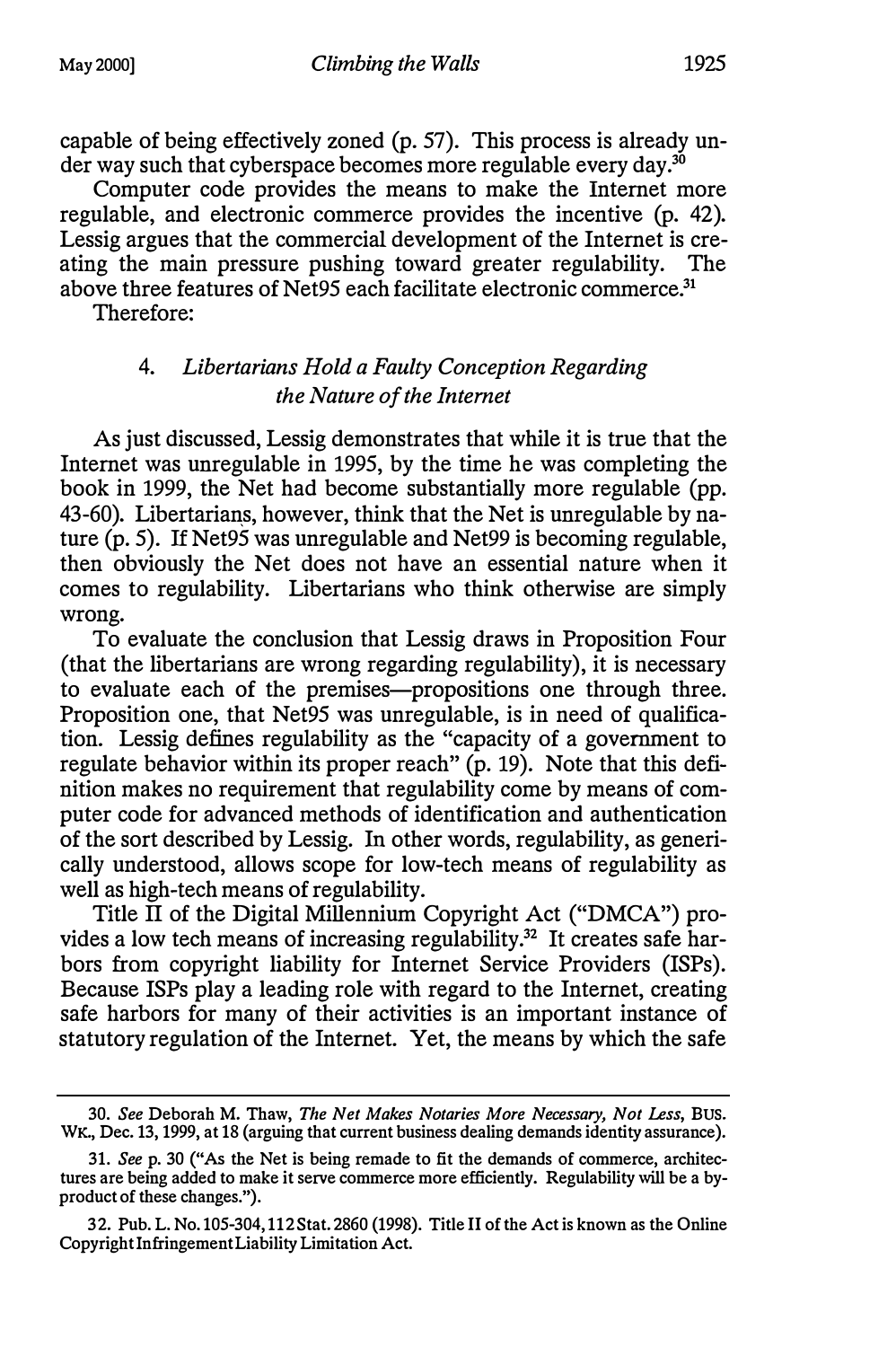capable of being effectively zoned (p. 57). This process is already under way such that cyberspace becomes more regulable every day.<sup>30</sup>

Computer code provides the means to make the Internet more regulable, and electronic commerce provides the incentive (p. 42). Lessig argues that the commercial development of the Internet is creating the main pressure pushing toward greater regulability. The above three features of Net95 each facilitate electronic commerce.<sup>31</sup>

Therefore:

## 4. Libertarians Hold a Faulty Conception Regarding the Nature of the Internet

As just discussed, Lessig demonstrates that while it is true that the Internet was unregulable in 1995, by the time he was completing the book in 1999, the Net had become substantially more regulable (pp. 43-60). Libertarians, however, think that the Net is unregulable by nature (p. 5). If Net95 was unregulable and Net99 is becoming regulable, then obviously the Net does not have an essential nature when it comes to regulability. Libertarians who think otherwise are simply wrong.

To evaluate the conclusion that Lessig draws in Proposition Four (that the libertarians are wrong regarding regulability), it is necessary to evaluate each of the premises-propositions one through three. Proposition one, that Net95 was unregulable, is in need of qualification. Lessig defines regulability as the "capacity of a government to regulate behavior within its proper reach"  $(p. 19)$ . Note that this definition makes no requirement that regulability come by means of computer code for advanced methods of identification and authentication of the sort described by Lessig. In other words, regulability, as generically understood, allows scope for low-tech means of regulability as well as high-tech means of regulability.

Title II of the Digital Millennium Copyright Act ("DMCA") provides a low tech means of increasing regulability.<sup>32</sup> It creates safe harbors from copyright liability for Internet Service Providers (ISPs). Because ISPs play a leading role with regard to the Internet, creating safe harbors for many of their activities is an important instance of statutory regulation of the Internet. Yet, the means by which the safe

<sup>30.</sup> See Deborah M. Thaw, The Net Makes Notaries More Necessary, Not Less, Bus. WK., Dec. 13, 1999, at 18 (arguing that current business dealing demands identity assurance).

<sup>31.</sup> See p. 30 ("As the Net is being remade to fit the demands of commerce, architectures are being added to make it serve commerce more efficiently. Regulability will be a byproduct of these changes.").

<sup>32.</sup> Pub. L. No. 105-304, 112 Stat. 2860 (1998). Title II of the Act is known as the Online Copyright Infringement Liability Limitation Act.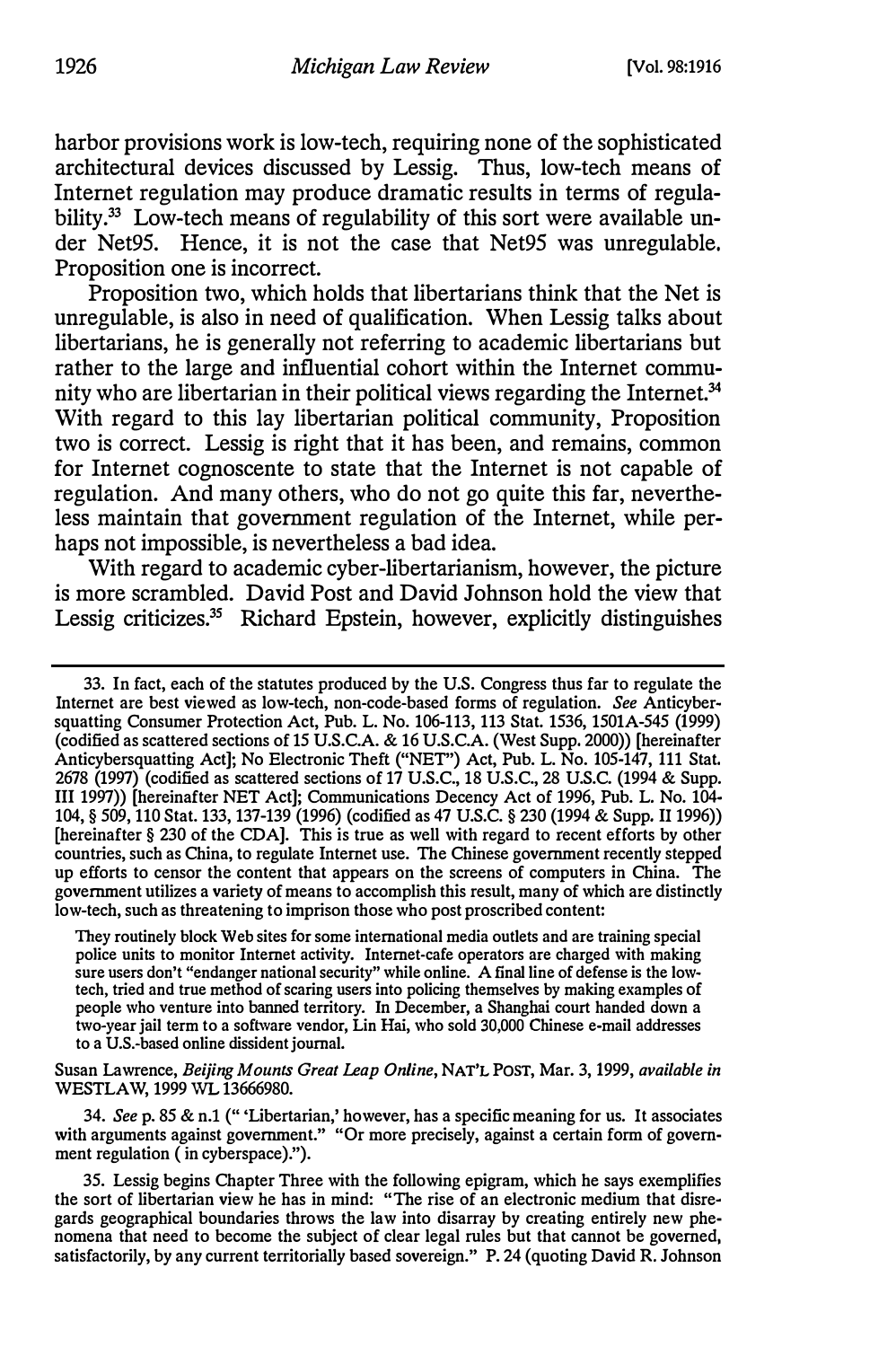harbor provisions work is low-tech, requiring none of the sophisticated architectural devices discussed by Lessig. Thus, low-tech means of Internet regulation may produce dramatic results in terms of regulability.<sup>33</sup> Low-tech means of regulability of this sort were available under Net95. Hence, it is not the case that Net95 was unregulable. Proposition one is incorrect.

Proposition two, which holds that libertarians think that the Net is unregulable, is also in need of qualification. When Lessig talks about libertarians, he is generally not referring to academic libertarians but rather to the large and influential cohort within the Internet community who are libertarian in their political views regarding the Internet.<sup>34</sup> With regard to this lay libertarian political community, Proposition two is correct. Lessig is right that it has been, and remains, common for Internet cognoscente to state that the Internet is not capable of regulation. And many others, who do not go quite this far, nevertheless maintain that government regulation of the Internet, while perhaps not impossible, is nevertheless a bad idea.

With regard to academic cyber-libertarianism, however, the picture is more scrambled. David Post and David Johnson hold the view that Lessig criticizes.<sup>35</sup> Richard Epstein, however, explicitly distinguishes

They routinely block Web sites for some international media outlets and are training special police units to monitor Internet activity. Internet-cafe operators are charged with making sure users don't "endanger national security" while online. A final line of defense is the lowtech, tried and true method of scaring users into policing themselves by making examples of people who venture into banned territory. In December, a Shanghai court handed down a two-year jail term to a software vendor, Lin Hai, who sold 30,000 Chinese e-mail addresses to a U.S.-based online dissident journal.

Susan Lawrence, Beijing Mounts Great Leap Online, NAT'L POST, Mar. 3, 1999, available in WESTLAW, 1999 WL 13666980.

34. See p. 85 & n.l (" 'Libertarian,' however, has a specific meaning for us. It associates with arguments against government." "Or more precisely, against a certain form of government regulation ( in cyberspace).").

35. Lessig begins Chapter Three with the following epigram, which he says exemplifies the sort of libertarian view he has in mind: "The rise of an electronic medium that disregards geographical boundaries throws the law into disarray by creating entirely new phenomena that need to become the subject of clear legal rules but that cannot be governed, satisfactorily, by any current territorially based sovereign." P. 24 (quoting David R. Johnson

<sup>33.</sup> In fact, each of the statutes produced by the U.S. Congress thus far to regulate the Internet are best viewed as low-tech, non-code-based forms of regulation. See Anticybersquatting Consumer Protection Act, Pub. L. No. 106-113, 113 Stat. 1536, 1501A-545 {1999) (codified as scattered sections of 15 U.S.C.A. & 16 U.S.C.A. (West Supp. 2000)) [hereinafter Anticybersquatting Act); No Electronic Theft ("NET") Act, Pub. L. No. 105-147, 111 Stat. 2678 {1997) (codified as scattered sections of 17 U.S.C., 18 U.S.C., 28 U.S.C. (1994 & Supp. III 1997)) [hereinafter NET Act); Communications Decency Act of 1996, Pub. L. No. 104- 104, § 509, 110 Stat. 133, 137-139 (1996) (codified as 47 U.S.C. § 230 (1994 & Supp. II 1996)) [hereinafter § 230 of the CDA). This is true as well with regard to recent efforts by other countries, such as China, to regulate Internet use. The Chinese government recently stepped up efforts to censor the content that appears on the screens of computers in China. The government utilizes a variety of means to accomplish this result, many of which are distinctly low-tech, such as threatening to imprison those who post proscribed content: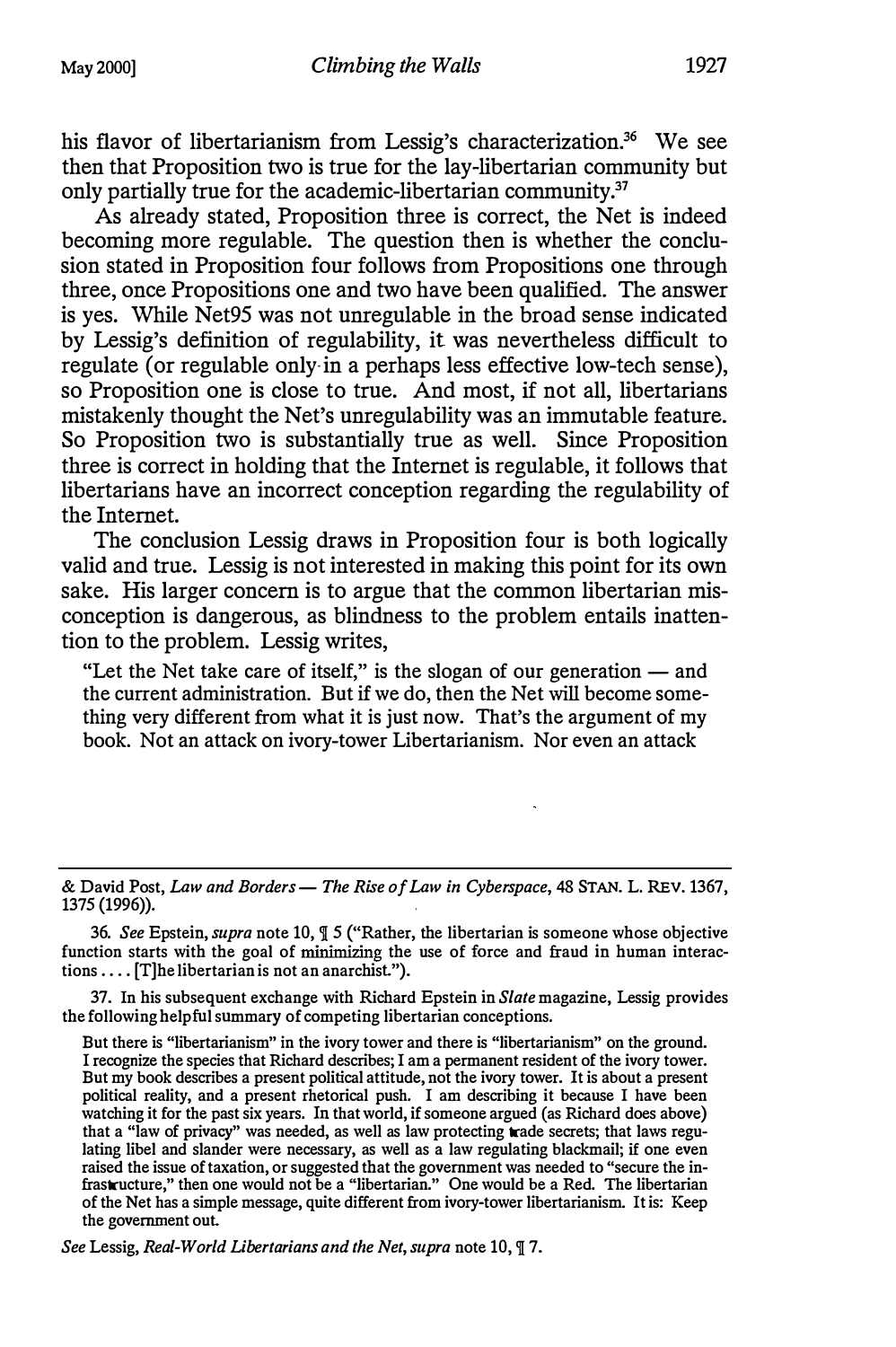his flavor of libertarianism from Lessig's characterization.<sup>36</sup> We see then that Proposition two is true for the lay-libertarian community but only partially true for the academic-libertarian community.37

As already stated, Proposition three is correct, the Net is indeed becoming more regulable. The question then is whether the conclusion stated in Proposition four follows from Propositions one through three, once Propositions one and two have been qualified. The answer is yes. While Net95 was not unregulable in the broad sense indicated by Lessig's definition of regulability, it was nevertheless difficult to regulate (or regulable only·in a perhaps less effective low-tech sense), so Proposition one is close to true. And most, if not all, libertarians mistakenly thought the Net's unregulability was an immutable feature. So Proposition two is substantially true as well. Since Proposition three is correct in holding that the Internet is regulable, it follows that libertarians have an incorrect conception regarding the regulability of the Internet.

The conclusion Lessig draws in Proposition four is both logically valid and true. Lessig is not interested in making this point for its own sake. His larger concern is to argue that the common libertarian misconception is dangerous, as blindness to the problem entails inattention to the problem. Lessig writes,

"Let the Net take care of itself," is the slogan of our generation  $-$  and the current administration. But if we do, then the Net will become something very different from what it is just now. That's the argument of my book. Not an attack on ivory-tower Libertarianism. Nor even an attack

& David Post, Law and Borders - The Rise of Law in Cyberspace, 48 STAN. L. REV. 1367, 1375 {1996) ).

36. See Epstein, supra note 10,  $\S$  5 ("Rather, the libertarian is someone whose objective function starts with the goal of minimizing the use of force and fraud in human interactions ..•. [T]he libertarian is not an anarchist").

37. In his subsequent exchange with Richard Epstein in Slate magazine, Lessig provides the following helpful summary of competing libertarian conceptions.

But there is "libertarianism" in the ivory tower and there is "libertarianism" on the ground. I recognize the species that Richard describes; I am a permanent resident of the ivory tower. But my book describes a present political attitude, not the ivory tower. It is about a present political reality, and a present rhetorical push. I am describing it because I have been watching it for the past six years. In that world, if someone argued (as Richard does above) that a "law of privacy" was needed, as well as law protecting trade secrets; that laws regulating libel and slander were necessary, as well as a law regulating blackmail; if one even raised the issue of taxation, or suggested that the government was needed to "secure the infrastructure," then one would not be a "libertarian." One would be a Red. The libertarian of the Net has a simple message, quite different from ivory-tower libertarianism. It is: Keep the government out

See Lessig, Real-World Libertarians and the Net, supra note 10,  $\P$ 7.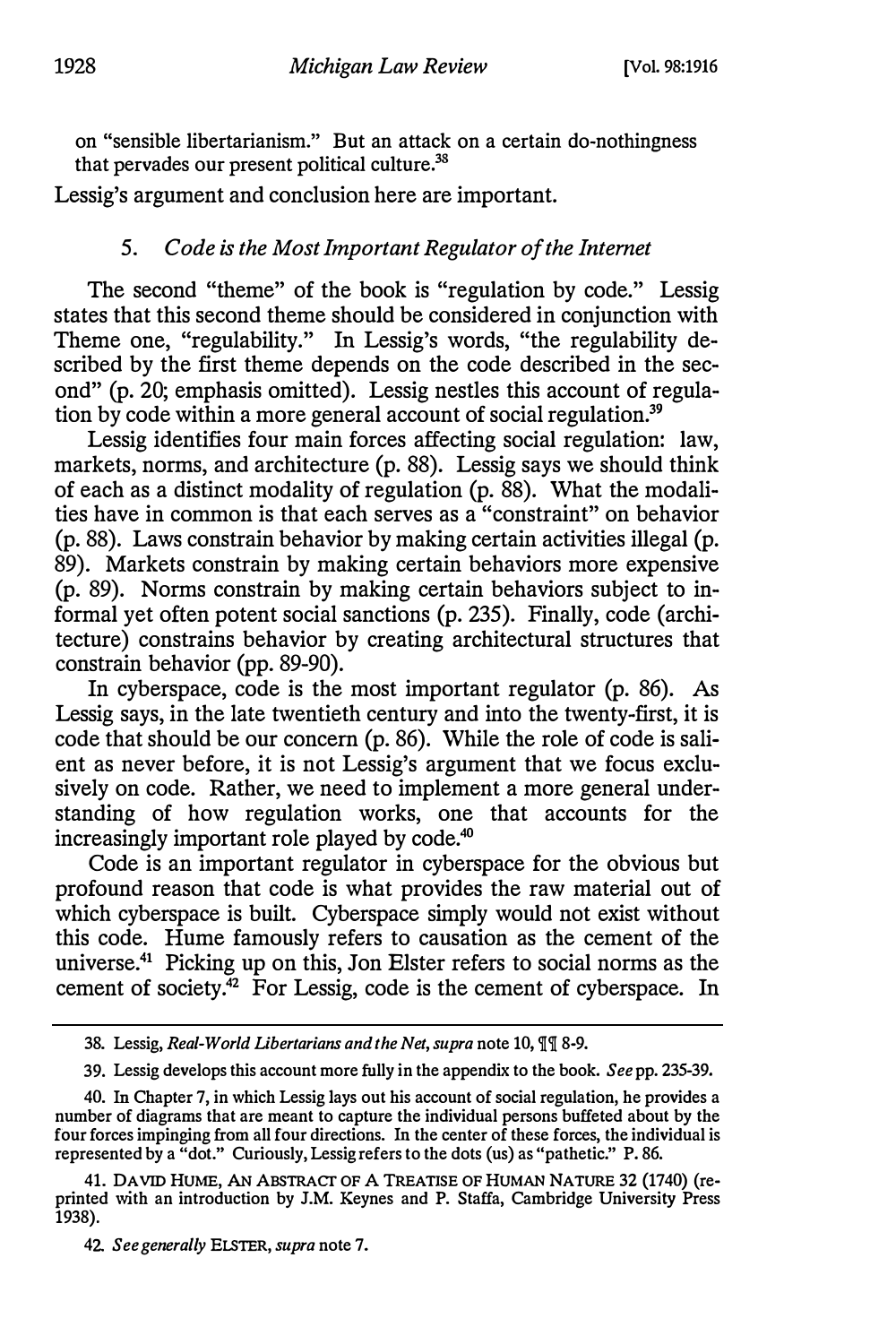on "sensible libertarianism." But an attack on a certain do-nothingness that pervades our present political culture.<sup>38</sup>

Lessig's argument and conclusion here are important.

## 5. Code is the Most Important Regulator of the Internet

The second "theme" of the book is "regulation by code." Lessig states that this second theme should be considered in conjunction with Theme one, "regulability." In Lessig's words, "the regulability described by the first theme depends on the code described in the second" (p. 20; emphasis omitted). Lessig nestles this account of regulation by code within a more general account of social regulation.<sup>39</sup>

Lessig identifies four main forces affecting social regulation: law, markets, norms, and architecture (p. 88). Lessig says we should think of each as a distinct modality of regulation (p. 88). What the modalities have in common is that each serves as a "constraint" on behavior (p. 88). Laws constrain behavior by making certain activities illegal (p. 89). Markets constrain by making certain behaviors more expensive (p. 89). Norms constrain by making certain behaviors subject to informal yet often potent social sanctions (p. 235). Finally, code (architecture) constrains behavior by creating architectural structures that constrain behavior (pp. 89-90).

In cyberspace, code is the most important regulator (p. 86). As Lessig says, in the late twentieth century and into the twenty-first, it is code that should be our concern (p. 86). While the role of code is salient as never before, it is not Lessig's argument that we focus exclusively on code. Rather, we need to implement a more general understanding of how regulation works, one that accounts for the increasingly important role played by code.<sup>40</sup>

Code is an important regulator in cyberspace for the obvious but profound reason that code is what provides the raw material out of which cyberspace is built. Cyberspace simply would not exist without this code. Hume famously refers to causation as the cement of the universe.<sup>41</sup> Picking up on this, Jon Elster refers to social norms as the cement of society. $42$  For Lessig, code is the cement of cyberspace. In

<sup>38.</sup> Lessig, Real-World Libertarians and the Net, supra note 10,  $\mathbb{q}$  8-9.

<sup>39.</sup> Lessig develops this account more fully in the appendix to the book. See pp. 235-39.

<sup>40.</sup> In Chapter 7, in which Lessig Jays out his account of social regulation, he provides a number of diagrams that are meant to capture the individual persons buffeted about by the four forces impinging from all four directions. In the center of these forces, the individual is represented by a "dot." Curiously, Lessig refers to the dots (us) as "pathetic." P. 86.

<sup>41.</sup> DAVID HUME, AN ABSTRACT OF A TREATISE OF HUMAN NATURE 32 (1740) (reprinted with an introduction by J.M. Keynes and P. Staffa, Cambridge University Press 1938).

<sup>42.</sup> See generally ELSTER, supra note 7.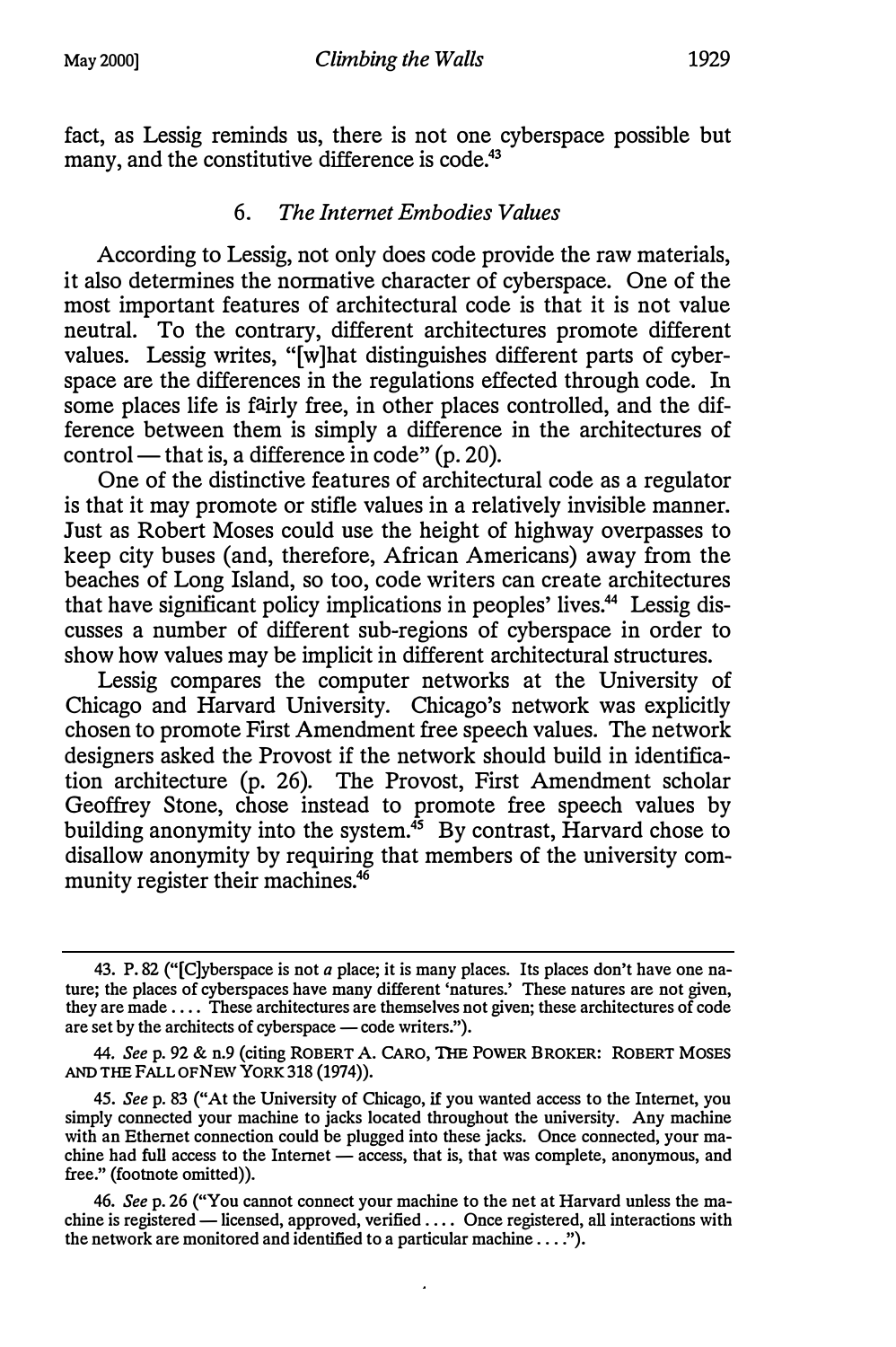fact, as Lessig reminds us, there is not one cyberspace possible but many, and the constitutive difference is code.<sup>43</sup>

#### 6. The Internet Embodies Values

According to Lessig, not only does code provide the raw materials, it also determines the normative character of cyberspace. One of the most important features of architectural code is that it is not value neutral. To the contrary, different architectures promote different values. Lessig writes, "[w]hat distinguishes different parts of cyberspace are the differences in the regulations effected through code. In some places life is fairly free, in other places controlled, and the difference between them is simply a difference in the architectures of control — that is, a difference in code"  $(p. 20)$ .

One of the distinctive features of architectural code as a regulator is that it may promote or stifle values in a relatively invisible manner. Just as Robert Moses could use the height of highway overpasses to keep city buses (and, therefore, African Americans) away from the beaches of Long Island, so too, code writers can create architectures that have significant policy implications in peoples' lives.44 Lessig discusses a number of different sub-regions of cyberspace in order to show how values may be implicit in different architectural structures.

Lessig compares the computer networks at the University of Chicago and Harvard University. Chicago's network was explicitly chosen to promote First Amendment free speech values. The network designers asked the Provost if the network should build in identification architecture (p. 26). The Provost, First Amendment scholar Geoffrey Stone, chose instead to promote free speech values by building anonymity into the system.<sup>45</sup> By contrast, Harvard chose to disallow anonymity by requiring that members of the university community register their machines.<sup>46</sup>

<sup>43.</sup> P. 82 ("[C]yberspace is not a place; it is many places. Its places don't have one nature; the places of cyberspaces have many different 'natures.' These natures are not given, they are made . . . . These architectures are themselves not given; these architectures of code are set by the architects of cyberspace - code writers.").

<sup>44.</sup> See p. 92 & n.9 (citing ROBERT A. CARO, THE POWER BROKER: ROBERT MOSES AND THE FALL OF NEW YORK 318 (1974)).

<sup>45.</sup> See p. 83 ("At the University of Chicago, if you wanted access to the Internet, you simply connected your machine to jacks located throughout the university. Any machine with an Ethernet connection could be plugged into these jacks. Once connected, your machine had full access to the Internet  $-$  access, that is, that was complete, anonymous, and free." (footnote omitted)).

<sup>46.</sup> Seep. 26 ("You cannot connect your machine to the net at Harvard unless the machine is registered — licensed, approved, verified . . . . Once registered, all interactions with the network are monitored and identified to a particular machine .... ").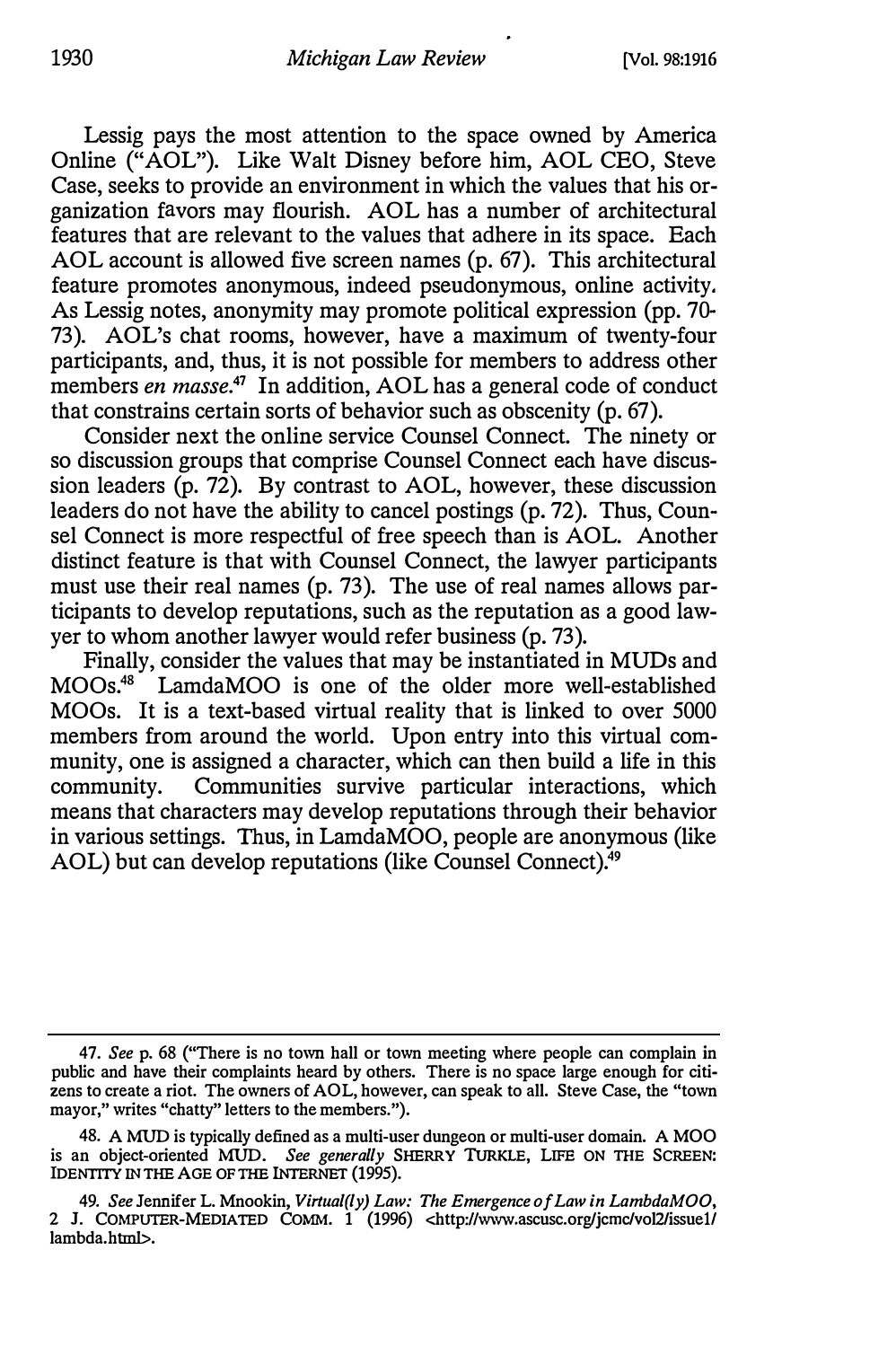Lessig pays the most attention to the space owned by America Online ("AOL"). Like Walt Disney before him, AOL CEO, Steve Case, seeks to provide an environment in which the values that his organization favors may flourish. AOL has a number of architectural features that are relevant to the values that adhere in its space. Each AOL account is allowed five screen names (p. 67). This architectural feature promotes anonymous, indeed pseudonymous, online activity. As Lessig notes, anonymity may promote political expression (pp. 70- 73). AOL's chat rooms, however, have a maximum of twenty-four participants, and, thus, it is not possible for members to address other members en masse.<sup>47</sup> In addition, AOL has a general code of conduct that constrains certain sorts of behavior such as obscenity (p. 67).

Consider next the online service Counsel Connect. The ninety or so discussion groups that comprise Counsel Connect each have discussion leaders (p. 72). By contrast to AOL, however, these discussion leaders do not have the ability to cancel postings (p. 72). Thus, Counsel Connect is more respectful of free speech than is AOL. Another distinct feature is that with Counsel Connect, the lawyer participants must use their real names (p. 73). The use of real names allows participants to develop reputations, such as the reputation as a good lawyer to whom another lawyer would refer business (p. 73).

Finally, consider the values that may be instantiated in MUDs and MOOs.<sup>48</sup> LamdaMOO is one of the older more well-established MOOs. It is a text-based virtual reality that is linked to over 5000 members from around the world. Upon entry into this virtual community, one is assigned a character, which can then build a life in this community. Communities survive particular interactions, which means that characters may develop reputations through their behavior in various settings. Thus, in LamdaMOO, people are anonymous (like AOL) but can develop reputations (like Counsel Connect).<sup>49</sup>

<sup>47.</sup> See p. 68 ("There is no town hall or town meeting where people can complain in public and have their complaints heard by others. There is no space large enough for citizens to create a riot. The owners of AOL, however, can speak to all. Steve Case, the "town mayor," writes "chatty" letters to the members.").

<sup>48.</sup> A MUD is typically defined as a multi-user dungeon or multi-user domain. A MOO is an object-oriented MUD. See generally SHERRY TURKLE, LIFE ON THE SCREEN: IDENTITY IN THE AGE OF THE INTERNET (1995).

<sup>49.</sup> See Jennifer L. Mnookin, Virtual(ly) Law: The Emergence of Law in LambdaMOO, 2 J. COMPUTER-MEDIATED COMM. 1 (1996) <http://www.ascusc.org/jcmc/vol2/issue1/ lambda.html>.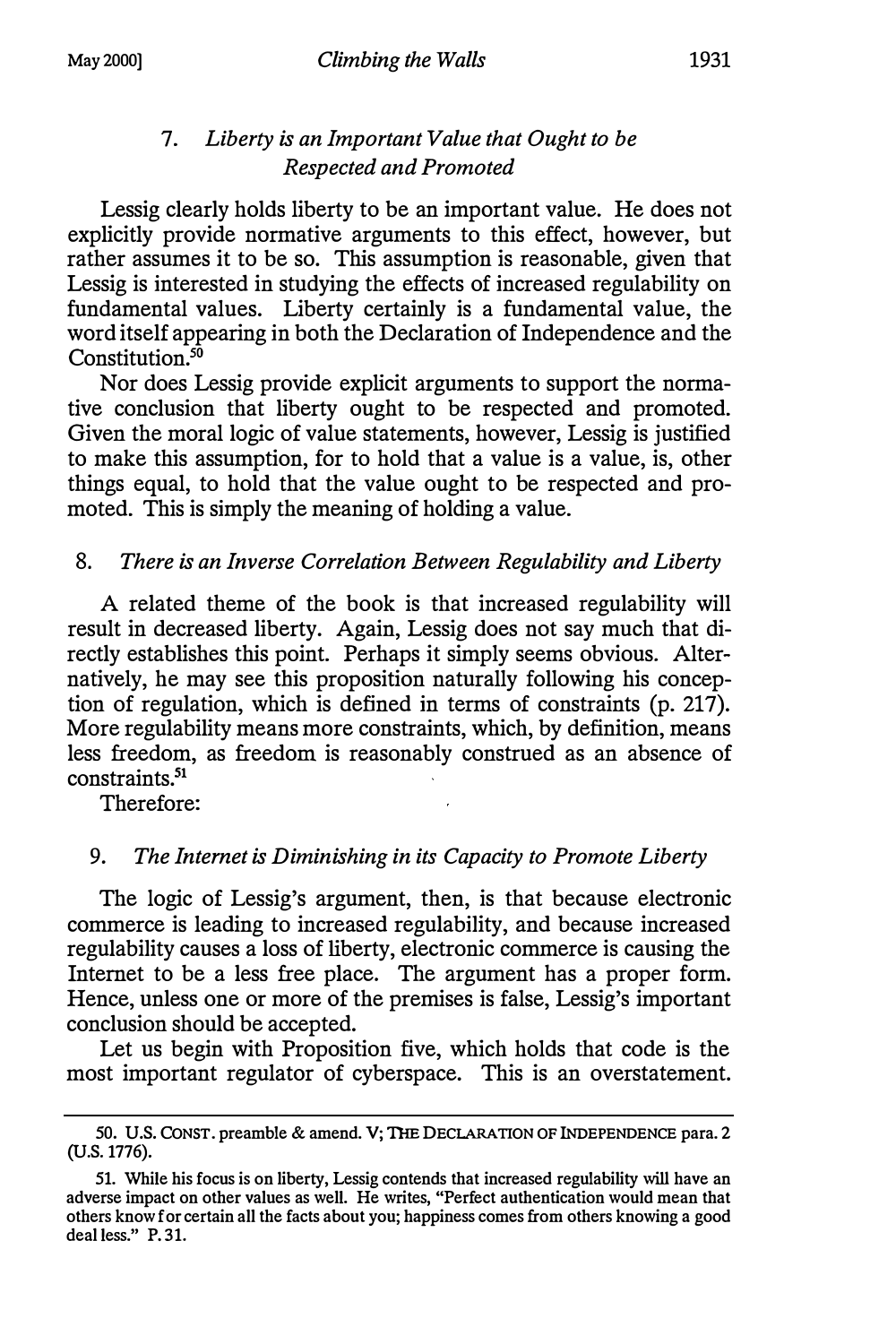## 7. Liberty is an Important Value that Ought to be Respected and Promoted

Lessig clearly holds liberty to be an important value. He does not explicitly provide normative arguments to this effect, however, but rather assumes it to be so. This assumption is reasonable, given that Lessig is interested in studying the effects of increased regulability on fundamental values. Liberty certainly is a fundamental value, the word itself appearing in both the Declaration of Independence and the Constitution.<sup>50</sup>

Nor does Lessig provide explicit arguments to support the normative conclusion that liberty ought to be respected and promoted. Given the moral logic of value statements, however, Lessig is justified to make this assumption, for to hold that a value is a value, is, other things equal, to hold that the value ought to be respected and promoted. This is simply the meaning of holding a value.

### 8. There is an Inverse Correlation Between Regulability and Liberty

A related theme of the book is that increased regulability will result in decreased liberty. Again, Lessig does not say much that directly establishes this point. Perhaps it simply seems obvious. Alternatively, he may see this proposition naturally following his conception of regulation, which is defined in terms of constraints (p. 217). More regulability means more constraints, which, by definition, means less freedom, as freedom is reasonably construed as an absence of constraints.51

Therefore:

#### 9. The Internet is Diminishing in its Capacity to Promote Liberty

The logic of Lessig's argument, then, is that because electronic commerce is leading to increased regulability, and because increased regulability causes a loss of liberty, electronic commerce is causing the Internet to be a less free place. The argument has a proper form. Hence, unless one or more of the premises is false, Lessig's important conclusion should be accepted.

Let us begin with Proposition five, which holds that code is the most important regulator of cyberspace. This is an overstatement.

<sup>50.</sup> U.S. CONST. preamble & amend. V; THE DECLARATION OF INDEPENDENCE para. 2 (U.S. 1776).

<sup>51.</sup> While his focus is on liberty, Lessig contends that increased regulability will have an adverse impact on other values as well. He writes, "Perfect authentication would mean that others know for certain all the facts about you; happiness comes from others knowing a good deal less." P. 31.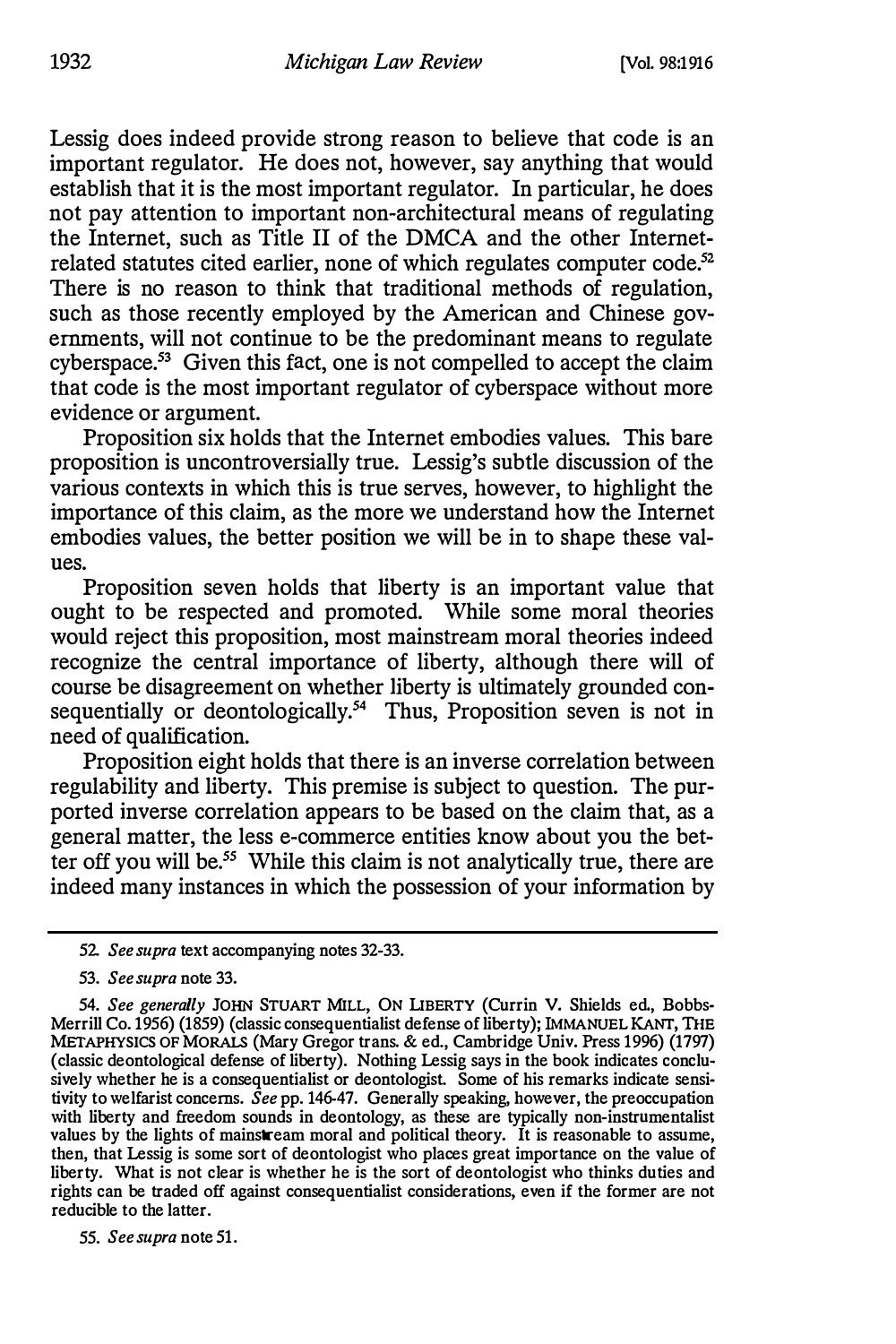Lessig does indeed provide strong reason to believe that code is an important regulator. He does not, however, say anything that would establish that it is the most important regulator. In particular, he does not pay attention to important non-architectural means of regulating the Internet, such as Title II of the DMCA and the other Internetrelated statutes cited earlier, none of which regulates computer code. $52$ There is no reason to think that traditional methods of regulation, such as those recently employed by the American and Chinese governments, will not continue to be the predominant means to regulate cyberspace.<sup>53</sup> Given this fact, one is not compelled to accept the claim that code is the most important regulator of cyberspace without more evidence or argument.

Proposition six holds that the Internet embodies values. This bare proposition is uncontroversially true. Lessig's subtle discussion of the various contexts in which this is true serves, however, to highlight the importance of this claim, as the more we understand how the Internet embodies values, the better position we will be in to shape these values.

Proposition seven holds that liberty is an important value that ought to be respected and promoted. While some moral theories would reject this proposition, most mainstream moral theories indeed recognize the central importance of liberty, although there will of course be disagreement on whether liberty is ultimately grounded consequentially or deontologically.<sup>54</sup> Thus, Proposition seven is not in need of qualification.

Proposition eight holds that there is an inverse correlation between regulability and liberty. This premise is subject to question. The purported inverse correlation appears to be based on the claim that, as a general matter, the less e-commerce entities know about you the better off you will be.<sup>55</sup> While this claim is not analytically true, there are indeed many instances in which the possession of your information by

55. See supra note 51.

<sup>52.</sup> See supra text accompanying notes 32-33.

<sup>53.</sup> See supra note 33.

<sup>54.</sup> See generally JOHN STUART MILL, ON LIBERTY {Currin V. Shields ed., Bobbs-Merrill Co.1956) {1859) {classic consequentialist defense of liberty); IMMANUEL KANT, THE METAPHYSICS OF MORALS {Mary Gregor trans. & ed., Cambridge Univ. Press 1996) {1797) {classic deontological defense of liberty). Nothing Lessig says in the book indicates conclusively whether he is a consequentialist or deontologist. Some of his remarks indicate sensitivity to welfarist concerns. See pp. 146-47. Generally speaking, however, the preoccupation with liberty and freedom sounds in deontology, as these are typically non-instrumentalist values by the lights of mainstream moral and political theory. It is reasonable to assume, then, that Lessig is some sort of deontologist who places great importance on the value of liberty. What is not clear is whether he is the sort of deontologist who thinks duties and rights can be traded off against consequentialist considerations, even if the former are not reducible to the latter.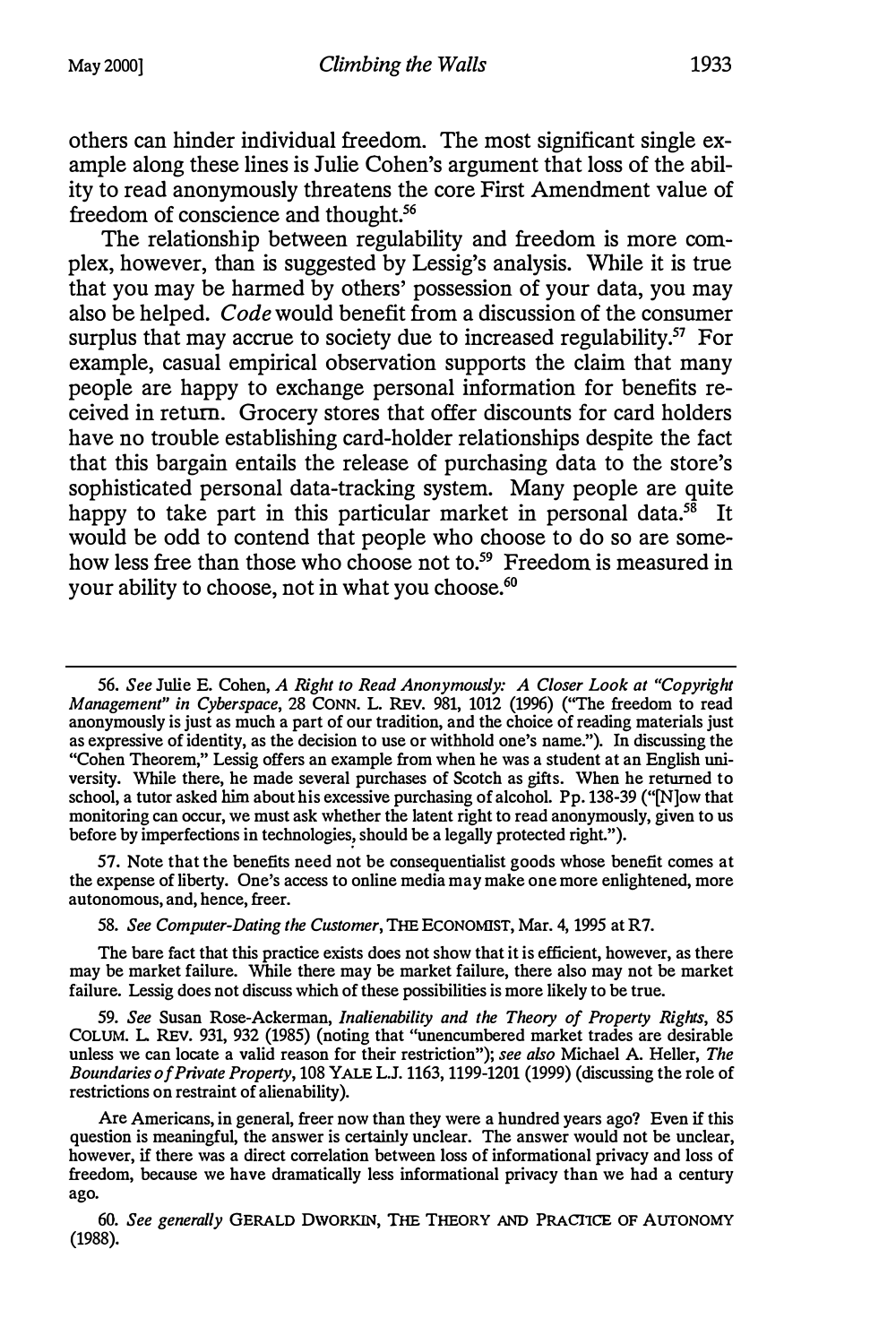freedom of conscience and thought.56 The relationship between regulability and freedom is more complex, however, than is suggested by Lessig's analysis. While it is true that you may be harmed by others' possession of your data, you may also be helped. Code would benefit from a discussion of the consumer surplus that may accrue to society due to increased regulability.<sup>57</sup> For example, casual empirical observation supports the claim that many people are happy to exchange personal information for benefits received in return. Grocery stores that offer discounts for card holders have no trouble establishing card-holder relationships despite the fact that this bargain entails the release of purchasing data to the store's sophisticated personal data-tracking system. Many people are quite happy to take part in this particular market in personal data.<sup>58</sup> It would be odd to contend that people who choose to do so are somehow less free than those who choose not to.<sup>59</sup> Freedom is measured in your ability to choose, not in what you choose.<sup>60</sup>

57. Note that the benefits need not be consequentialist goods whose benefit comes at the expense of liberty. One's access to online media may make one more enlightened, more autonomous, and, hence, freer.

58. See Computer-Dating the Customer, THE ECONOMIST, Mar. 4, 1995 at R7.

The bare fact that this practice exists does not show that it is efficient, however, as there may be market failure. While there may be market failure, there also may not be market failure. Lessig does not discuss which of these possibilities is more likely to be true.

59. See Susan Rose-Ackerman, Inalienability and the Theory of Property Rights, 85 COLUM. L. REV. 931, 932 {1985) (noting that "unencumbered market trades are desirable unless we can locate a valid reason for their restriction"); see also Michael A. Heller, The Boundaries of Private Property, 108 YALE L.J. 1163, 1199-1201 (1999) (discussing the role of restrictions on restraint of alienability).

Are Americans, in general, freer now than they were a hundred years ago? Even if this question is meaningful, the answer is certainly unclear. The answer would not be unclear, however, if there was a direct correlation between Joss of informational privacy and Joss of freedom, because we have dramatically less informational privacy than we had a century ago.

60. See generally GERALD DWORKIN, THE THEORY AND PRACI1CE OF AUTONOMY {1988).

<sup>56.</sup> See Julie E. Cohen, A Right to Read Anonymously: A Closer Look at "Copyright Management" in Cyberspace, 28 CONN. L. REV. 981, 1012 {1996) ("The freedom to read anonymously is just as much a part of our tradition, and the choice of reading materials just as expressive of identity, as the decision to use or withhold one's name."). In discussing the "Cohen Theorem," Lessig offers an example from when he was a student at an English university. While there, he made several purchases of Scotch as gifts. When he returned to school, a tutor asked him about his excessive purchasing of alcohol. Pp. 138-39 ("[N]ow that monitoring can occur, we must ask whether the latent right to read anonymously, given to us before by imperfections in technologies, should be a legally protected right.").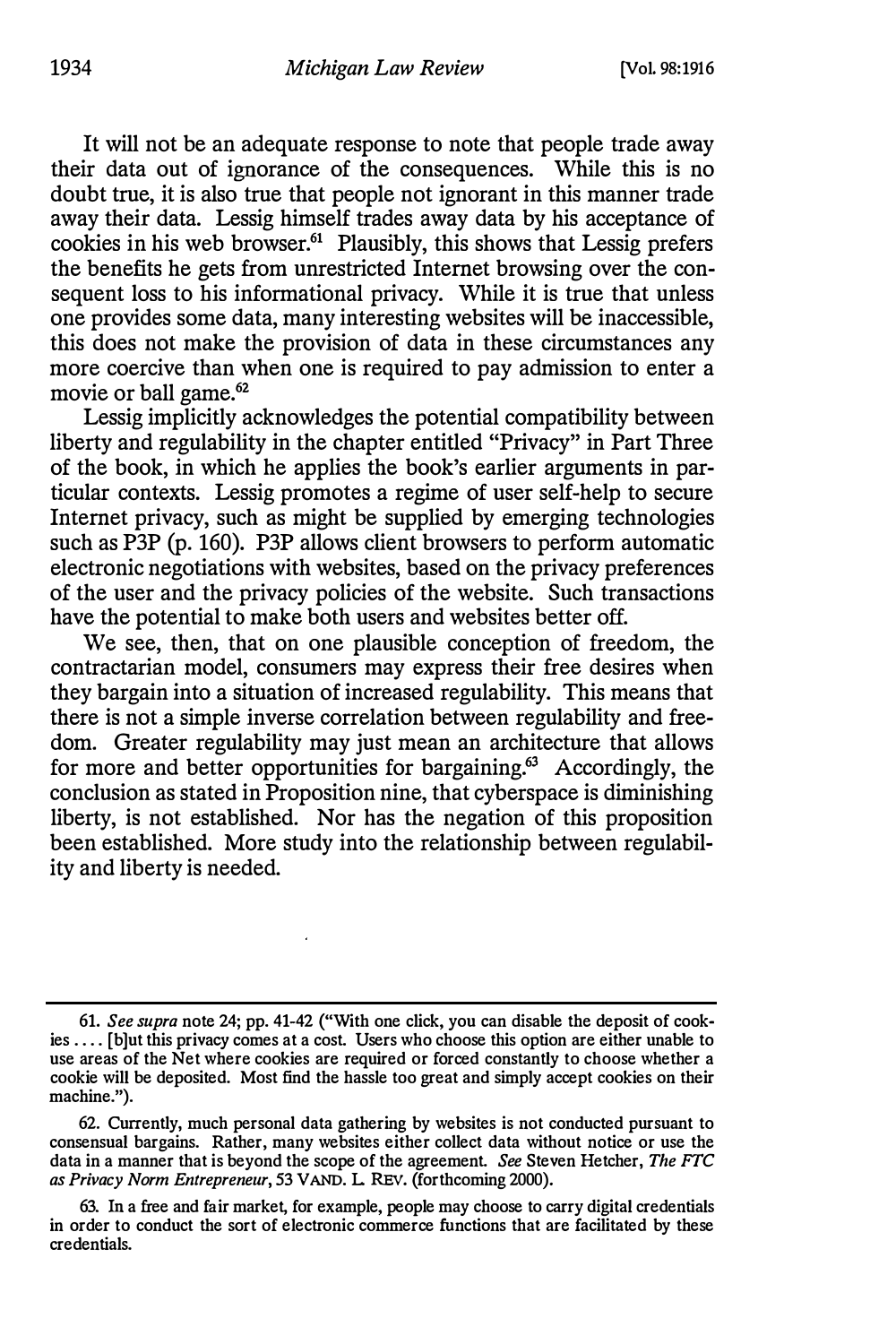It will not be an adequate response to note that people trade away their data out of ignorance of the consequences. While this is no doubt true, it is also true that people not ignorant in this manner trade away their data. Lessig himself trades away data by his acceptance of cookies in his web browser.<sup>61</sup> Plausibly, this shows that Lessig prefers the benefits he gets from unrestricted Internet browsing over the consequent loss to his informational privacy. While it is true that unless one provides some data, many interesting websites will be inaccessible, this does not make the provision of data in these circumstances any more coercive than when one is required to pay admission to enter a movie or ball game.<sup>62</sup>

Lessig implicitly acknowledges the potential compatibility between liberty and regulability in the chapter entitled "Privacy" in Part Three of the book, in which he applies the book's earlier arguments in particular contexts. Lessig promotes a regime of user self-help to secure Internet privacy, such as might be supplied by emerging technologies such as P3P (p. 160). P3P allows client browsers to perform automatic electronic negotiations with websites, based on the privacy preferences of the user and the privacy policies of the website. Such transactions have the potential to make both users and websites better off.

We see, then, that on one plausible conception of freedom, the contractarian model, consumers may express their free desires when they bargain into a situation of increased regulability. This means that there is not a simple inverse correlation between regulability and freedom. Greater regulability may just mean an architecture that allows for more and better opportunities for bargaining.<sup>63</sup> Accordingly, the conclusion as stated in Proposition nine, that cyberspace is diminishing liberty, is not established. Nor has the negation of this proposition been established. More study into the relationship between regulability and liberty is needed.

<sup>61.</sup> See supra note 24; pp. 41-42 ("With one click, you can disable the deposit of cookies .... [b]ut this privacy comes at a cost. Users who choose this option are either unable to use areas of the Net where cookies are required or forced constantly to choose whether a cookie will be deposited. Most find the hassle too great and simply accept cookies on their machine.").

<sup>62.</sup> Currently, much personal data gathering by websites is not conducted pursuant to consensual bargains. Rather, many websites either collect data without notice or use the data in a manner that is beyond the scope of the agreement. See Steven Hetcher, The FTC as Privacy Norm Entrepreneur, 53 V AND. L. REV. (forthcoming 2000).

<sup>63.</sup> In a free and fair market, for example, people may choose to carry digital credentials in order to conduct the sort of electronic commerce functions that are facilitated by these credentials.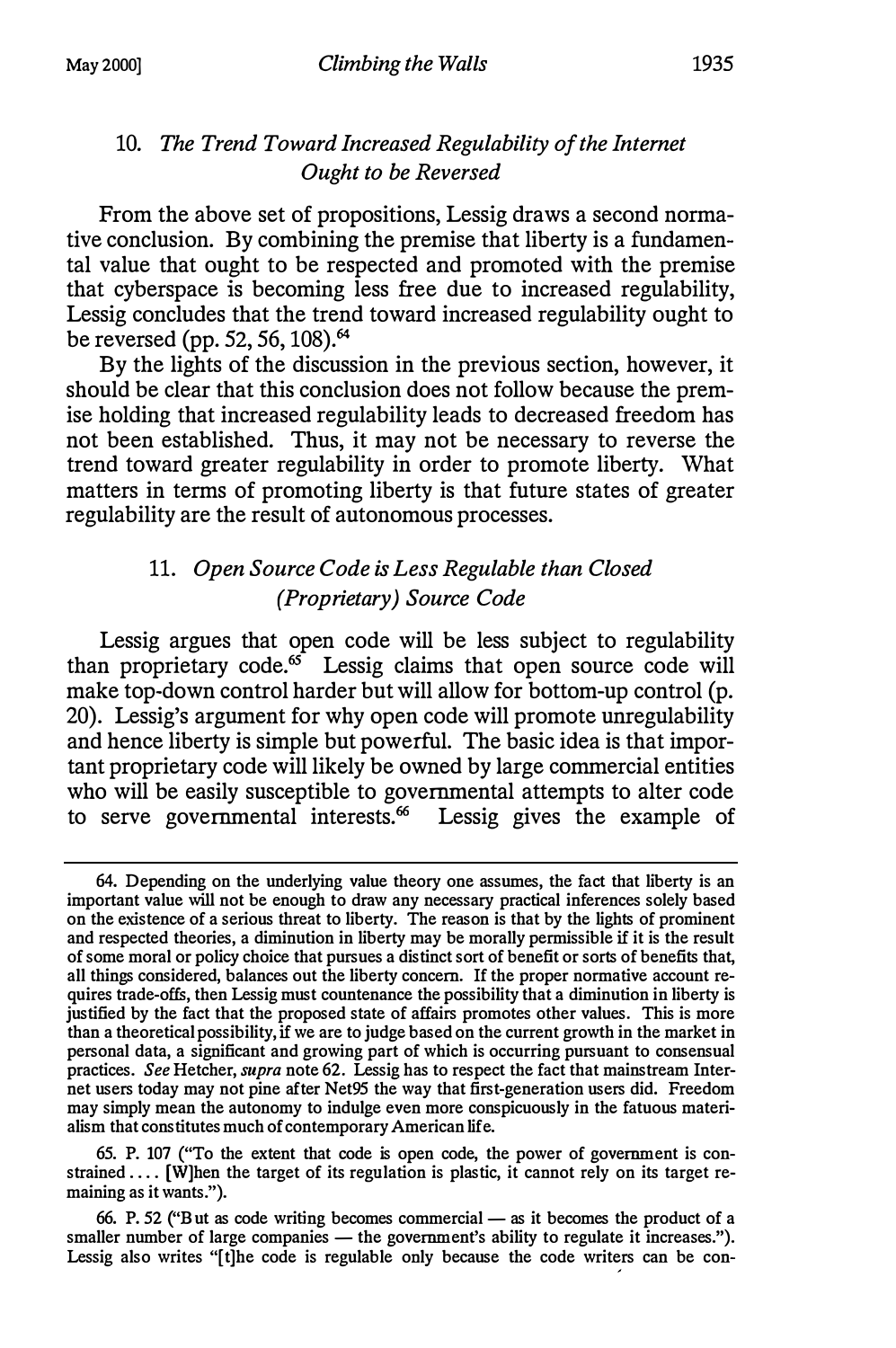## 10. The Trend Toward Increased Regulability of the Internet Ought to be Reversed

From the above set of propositions, Lessig draws a second normative conclusion. By combining the premise that liberty is a fundamental value that ought to be respected and promoted with the premise that cyberspace is becoming less free due to increased regulability, Lessig concludes that the trend toward increased regulability ought to be reversed (pp. 52, 56, 108). $^{64}$ 

By the lights of the discussion in the previous section, however, it should be clear that this conclusion does not follow because the premise holding that increased regulability leads to decreased freedom has not been established. Thus, it may not be necessary to reverse the trend toward greater regulability in order to promote liberty. What matters in terms of promoting liberty is that future states of greater regulability are the result of autonomous processes.

## 11. Open Source Code is Less Regulable than Closed (Proprietary) Source Code

Lessig argues that open code will be less subject to regulability than proprietary code. $65$  Lessig claims that open source code will make top-down control harder but will allow for bottom-up control (p. 20). Lessig's argument for why open code will promote unregulability and hence liberty is simple but powerful. The basic idea is that important proprietary code will likely be owned by large commercial entities who will be easily susceptible to governmental attempts to alter code to serve governmental interests.<sup>66</sup> Lessig gives the example of

65. P. 107 ("To the extent that code is open code, the power of government is constrained .... [W]hen the target of its regulation is plastic, it cannot rely on its target remaining as it wants.").

66. P. 52 ("But as code writing becomes commercial  $-$  as it becomes the product of a smaller number of large companies — the government's ability to regulate it increases."). Lessig also writes "[t]he code is regulable only because the code writers can be con-

<sup>64.</sup> Depending on the underlying value theory one assumes, the fact that liberty is an important value will not be enough to draw any necessary practical inferences solely based on the existence of a serious threat to liberty. The reason is that by the lights of prominent and respected theories, a diminution in liberty may be morally permissible if it is the result of some moral or policy choice that pursues a distinct sort of benefit or sorts of benefits that, all things considered, balances out the liberty concern. If the proper normative account requires trade-offs, then Lessig must countenance the possibility that a diminution in liberty is justified by the fact that the proposed state of affairs promotes other values. This is more than a theoretical possibility, if we are to judge based on the current growth in the market in personal data, a significant and growing part of which is occurring pursuant to consensual practices. See Hetcher, supra note 62. Lessig has to respect the fact that mainstream Internet users today may not pine after Net95 the way that first-generation users did. Freedom may simply mean the autonomy to indulge even more conspicuously in the fatuous materialism that constitutes much of contemporary American life.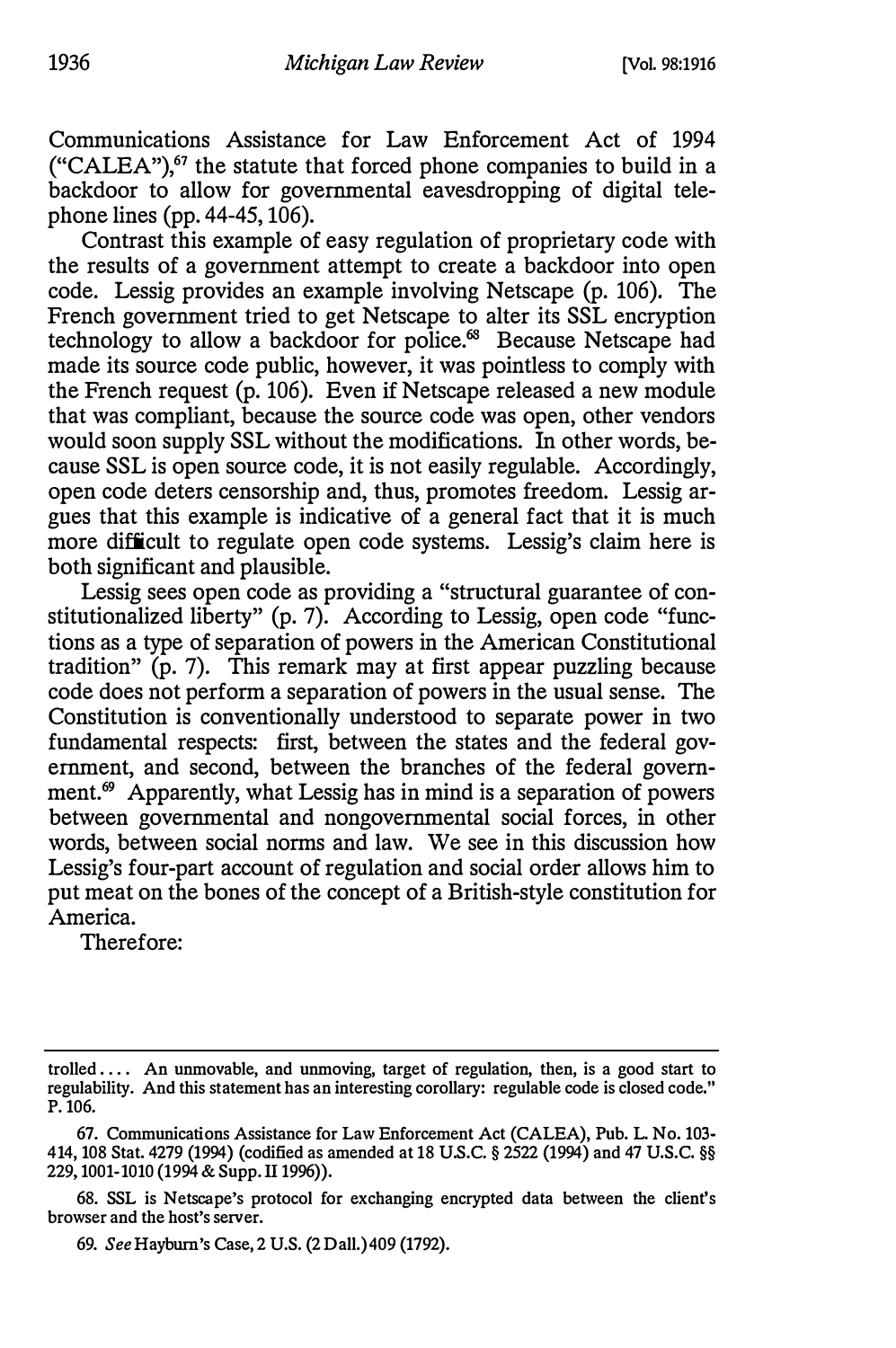Communications Assistance for Law Enforcement Act of 1994  $("CALEA"),<sup>67</sup>$  the statute that forced phone companies to build in a backdoor to allow for governmental eavesdropping of digital telephone lines (pp. 44-45, 106).

Contrast this example of easy regulation of proprietary code with the results of a government attempt to create a backdoor into open code. Lessig provides an example involving Netscape (p. 106). The French government tried to get Netscape to alter its SSL encryption technology to allow a backdoor for police.<sup>68</sup> Because Netscape had made its source code public, however, it was pointless to comply with the French request (p. 106). Even if Netscape released a new module that was compliant, because the source code was open, other vendors would soon supply SSL without the modifications. In other words, because SSL is open source code, it is not easily regulable. Accordingly, open code deters censorship and, thus, promotes freedom. Lessig argues that this example is indicative of a general fact that it is much more difficult to regulate open code systems. Lessig's claim here is both significant and plausible.

Lessig sees open code as providing a "structural guarantee of constitutionalized liberty" (p. 7). According to Lessig, open code "functions as a type of separation of powers in the American Constitutional tradition" (p. 7). This remark may at first appear puzzling because code does not perform a separation of powers in the usual sense. The Constitution is conventionally understood to separate power in two fundamental respects: first, between the states and the federal government, and second, between the branches of the federal government.<sup>69</sup> Apparently, what Lessig has in mind is a separation of powers between governmental and nongovernmental social forces, in other words, between social norms and law. We see in this discussion how Lessig's four-part account of regulation and social order allows him to put meat on the bones of the concept of a British-style constitution for America.

Therefore:

trolled . . . . An unmovable, and unmoving, target of regulation, then, is a good start to regulability. And this statement has an interesting corollary: regulable code is closed code." P. 106.

<sup>67.</sup> Communications Assistance for Law Enforcement Act {CALEA), Pub. L. No. 103- 414, 108 Stat. 4279 (1994) (codified as amended at 18 U.S.C. § 2522 (1994) and 47 U.S.C. §§ 229, 1001-1010 (1994 & Supp. II 1996)).

<sup>68.</sup> SSL is Netscape's protocol for exchanging encrypted data between the client's browser and the host's server.

<sup>69.</sup> See Rayburn's Case, 2 U.S. (2 Dall.) 409 (1792).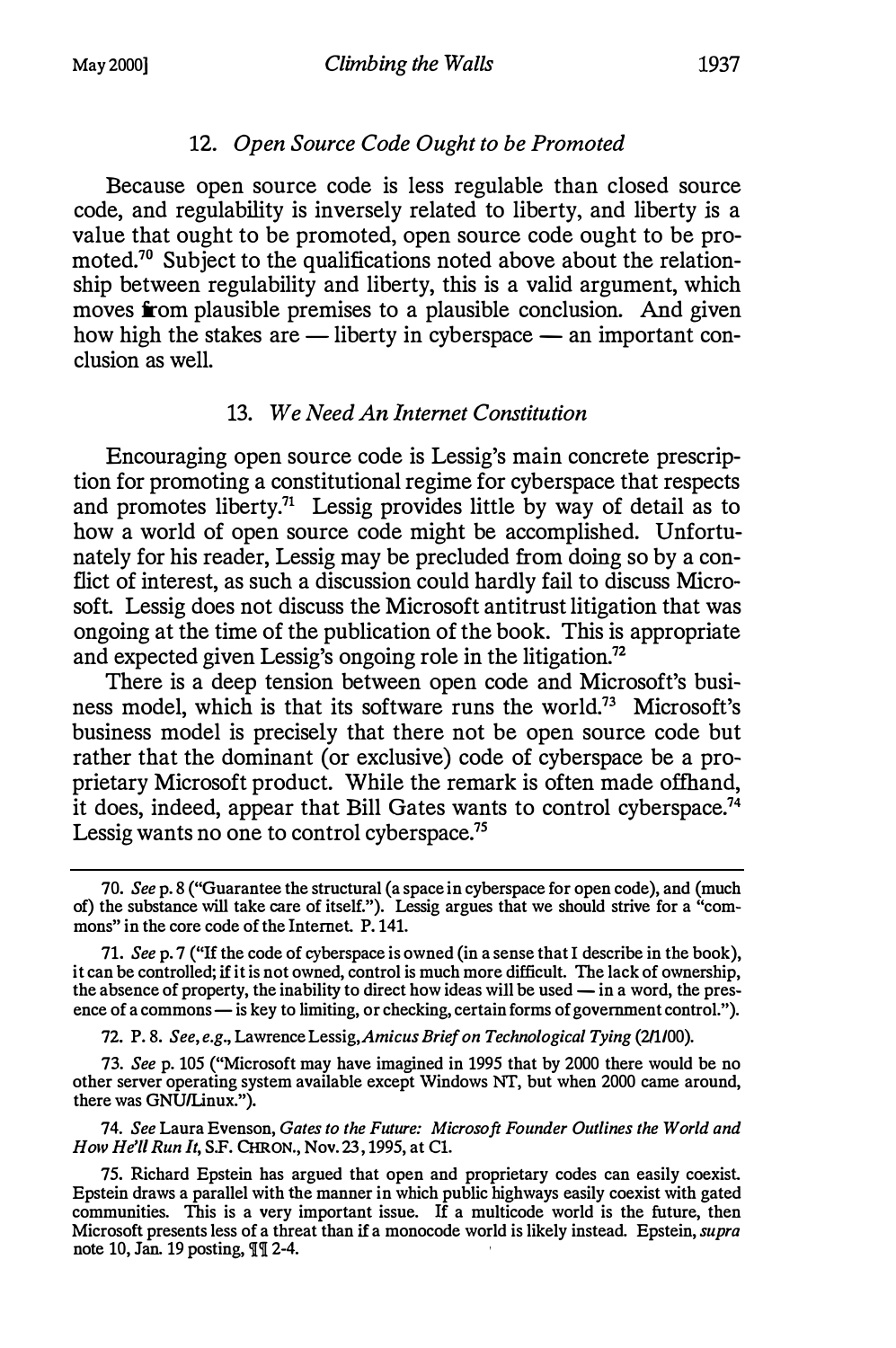#### 12. Open Source Code Ought to be Promoted

Because open source code is less regulable than closed source code, and regulability is inversely related to liberty, and liberty is a value that ought to be promoted, open source code ought to be promoted.<sup>70</sup> Subject to the qualifications noted above about the relationship between regulability and liberty, this is a valid argument, which moves from plausible premises to a plausible conclusion. And given how high the stakes are  $-$  liberty in cyberspace  $-$  an important conclusion as well.

#### 13. We Need An Internet Constitution

Encouraging open source code is Lessig's main concrete prescription for promoting a constitutional regime for cyberspace that respects and promotes liberty.<sup>71</sup> Lessig provides little by way of detail as to how a world of open source code might be accomplished. Unfortunately for his reader, Lessig may be precluded from doing so by a conflict of interest, as such a discussion could hardly fail to discuss Microsoft. Lessig does not discuss the Microsoft antitrust litigation that was ongoing at the time of the publication of the book. This is appropriate and expected given Lessig's ongoing role in the litigation.<sup>72</sup>

There is a deep tension between open code and Microsoft's business model, which is that its software runs the world.73 Microsoft's business model is precisely that there not be open source code but rather that the dominant (or exclusive) code of cyberspace be a proprietary Microsoft product. While the remark is often made offhand, it does, indeed, appear that Bill Gates wants to control cyberspace.<sup>74</sup> Lessig wants no one to control cyberspace.<sup>75</sup>

72. P. 8. See, e.g., Lawrence Lessig, Amicus Brief on Technological Tying (211100).

73. See p. 105 ("Microsoft may have imagined in 1995 that by 2000 there would be no other server operating system available except Windows NT, but when 2000 came around, there was GNU/Linux.").

74. See Laura Evenson, Gates to the Future: Microsoft Founder Outlines the World and How He'll Run It, S.F. CHRON., Nov. 23, 1995, at Cl.

<sup>70.</sup> See p. 8 ("Guarantee the structural (a space in cyberspace for open code), and (much of) the substance will take care of itself."). Lessig argues that we should strive for a "commons" in the core code of the Internet. P. 141.

<sup>71.</sup> See p. 7 ("If the code of cyberspace is owned (in a sense that I describe in the book), it can be controlled; if it is not owned, control is much more difficult. The lack of ownership, the absence of property, the inability to direct how ideas will be used — in a word, the presence of a commons — is key to limiting, or checking, certain forms of government control.").

<sup>75.</sup> Richard Epstein has argued that open and proprietary codes can easily coexist Epstein draws a parallel with the manner in which public highways easily coexist with gated communities. This is a very important issue. If a multicode world is the future, then Microsoft presents less of a threat than if a monocode world is likely instead. Epstein, *supra* note 10, Jan. 19 posting,  $\P\P$  2-4.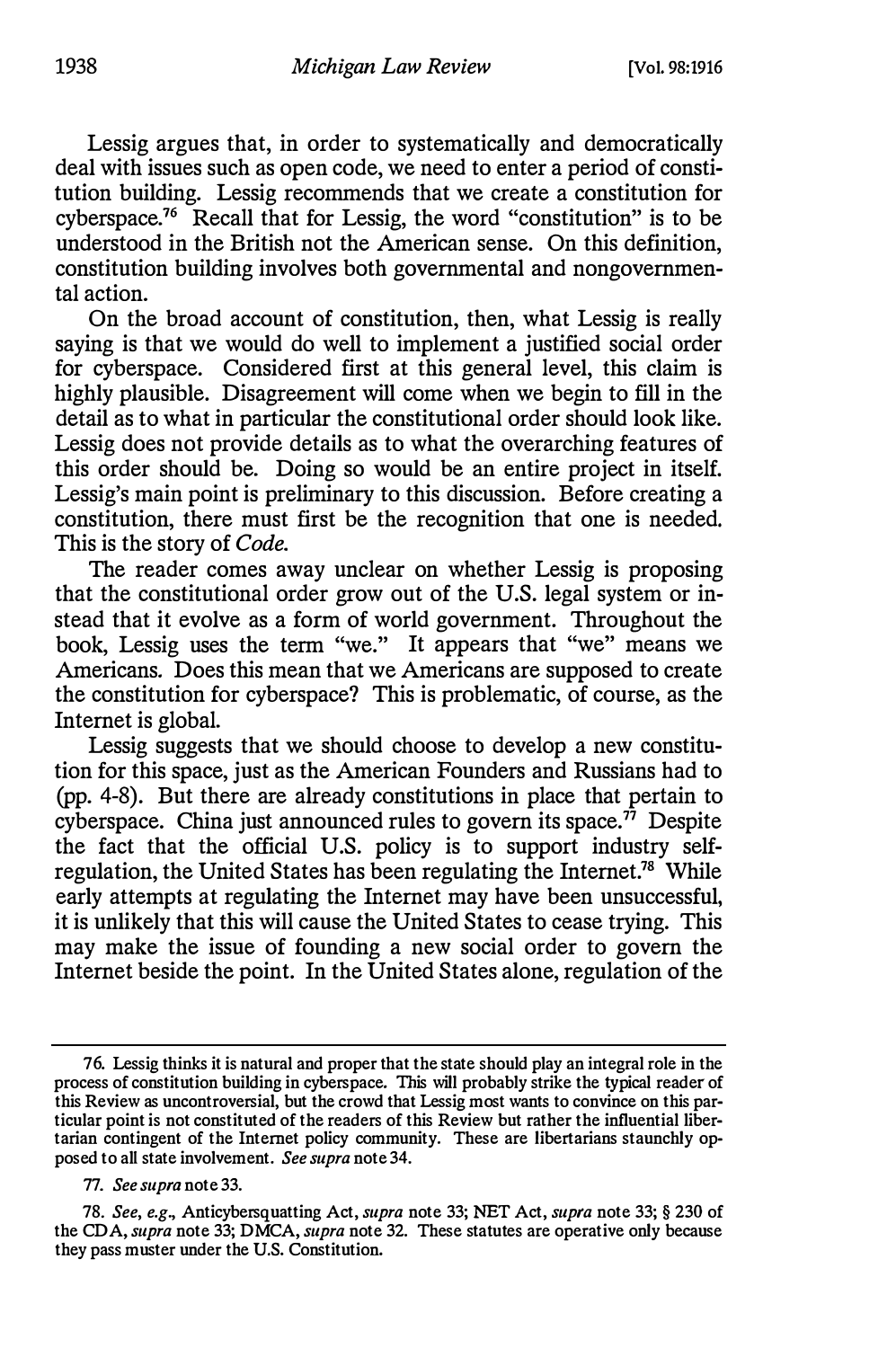Lessig argues that, in order to systematically and democratically deal with issues such as open code, we need to enter a period of constitution building. Lessig recommends that we create a constitution for cyberspace.76 Recall that for Lessig, the word "constitution" is to be understood in the British not the American sense. On this definition, constitution building involves both governmental and nongovernmental action.

On the broad account of constitution, then, what Lessig is really saying is that we would do well to implement a justified social order for cyberspace. Considered first at this general level, this claim is highly plausible. Disagreement will come when we begin to fill in the detail as to what in particular the constitutional order should look like. Lessig does not provide details as to what the overarching features of this order should be. Doing so would be an entire project in itself. Lessig's main point is preliminary to this discussion. Before creating a constitution, there must first be the recognition that one is needed. This is the story of *Code*.

The reader comes away unclear on whether Lessig is proposing that the constitutional order grow out of the U.S. legal system or instead that it evolve as a form of world government. Throughout the book, Lessig uses the term "we." It appears that "we" means we Americans. Does this mean that we Americans are supposed to create the constitution for cyberspace? This is problematic, of course, as the Internet is global.

Lessig suggests that we should choose to develop a new constitution for this space, just as the American Founders and Russians had to (pp. 4-8). But there are already constitutions in place that pertain to cyberspace. China just announced rules to govern its space.<sup> $\tau$ </sup> Despite the fact that the official U.S. policy is to support industry selfregulation, the United States has been regulating the Internet.78 While early attempts at regulating the Internet may have been unsuccessful, it is unlikely that this will cause the United States to cease trying. This may make the issue of founding a new social order to govern the Internet beside the point. In the United States alone, regulation of the

<sup>76.</sup> Lessig thinks it is natural and proper that the state should play an integral role in the process of constitution building in cyberspace. This will probably strike the typical reader of this Review as uncontroversial, but the crowd that Lessig most wants to convince on this particular point is not constituted of the readers of this Review but rather the influential libertarian contingent of the Internet policy community. These are libertarians staunchly opposed to all state involvement. See supra note 34.

<sup>77.</sup> See supra note 33.

<sup>78.</sup> See, e.g., Anticybersquatting Act, supra note 33; NET Act, supra note 33; § 230 of the CDA, supra note 33; DMCA, supra note 32. These statutes are operative only because they pass muster under the U.S. Constitution.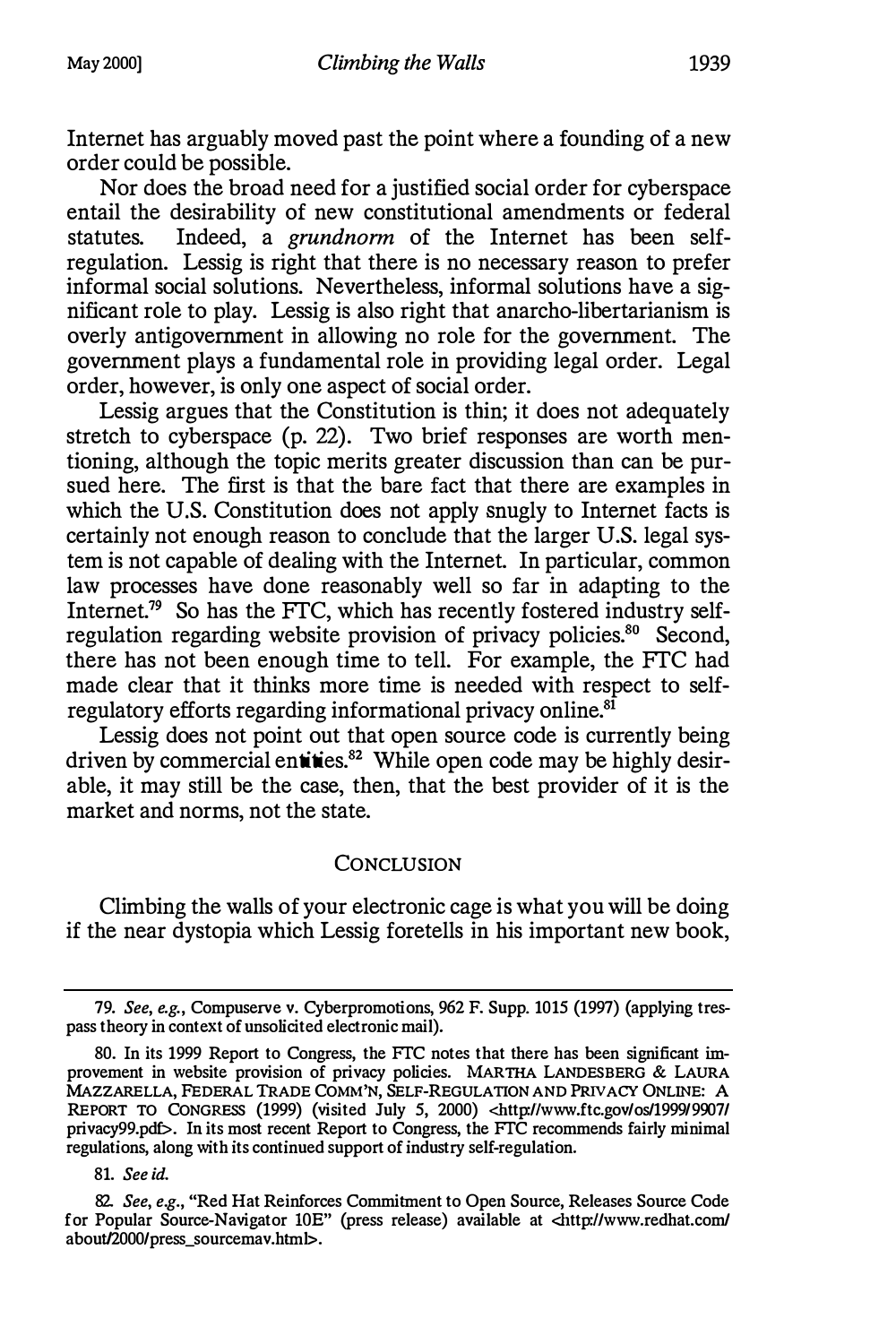Internet has arguably moved past the point where a founding of a new order could be possible.

Nor does the broad need for a justified social order for cyberspace entail the desirability of new constitutional amendments or federal statutes. Indeed, a *grundnorm* of the Internet has been selfregulation. Lessig is right that there is no necessary reason to prefer informal social solutions. Nevertheless, informal solutions have a significant role to play. Lessig is also right that anarcho-libertarianism is overly antigovernment in allowing no role for the government. The government plays a fundamental role in providing legal order. Legal order, however, is only one aspect of social order.

Lessig argues that the Constitution is thin; it does not adequately stretch to cyberspace (p. 22). Two brief responses are worth mentioning, although the topic merits greater discussion than can be pursued here. The first is that the bare fact that there are examples in which the U.S. Constitution does not apply snugly to Internet facts is certainly not enough reason to conclude that the larger U.S. legal system is not capable of dealing with the Internet. In particular, common law processes have done reasonably well so far in adapting to the Internet.<sup>79</sup> So has the FTC, which has recently fostered industry selfregulation regarding website provision of privacy policies.<sup>80</sup> Second, there has not been enough time to tell. For example, the FTC had made clear that it thinks more time is needed with respect to selfregulatory efforts regarding informational privacy online.<sup>81</sup>

Lessig does not point out that open source code is currently being driven by commercial entities.<sup>82</sup> While open code may be highly desirable, it may still be the case, then, that the best provider of it is the market and norms, not the state.

#### **CONCLUSION**

Climbing the walls of your electronic cage is what you will be doing if the near dystopia which Lessig foretells in his important new book,

<sup>79.</sup> See, e.g., Compuserve v. Cyberpromotions, 962 F. Supp. 1015 (1997) (applying trespass theory in context of unsolicited electronic mail).

<sup>80.</sup> In its 1999 Report to Congress, the FTC notes that there has been significant improvement in website provision of privacy policies. MARTHA LANDESBERG & LAURA MAZZARELLA, FEDERAL TRADE COMM'N, SELF-REGULATION AND PRIVACY ONLINE: A REPORT TO CONGRESS (1999) (visited July 5, 2000) <http://www.ftc.gov/os/1999/9907/ privacy99.pdf>. In its most recent Report to Congress, the FTC recommends fairly minimal regulations, along with its continued support of industry self-regulation.

<sup>81.</sup> See id.

<sup>82</sup> See, e.g., "Red Hat Reinforces Commitment to Open Source, Releases Source Code for Popular Source-Navigator lOE" (press release) available at <ltttp://www.redhat.com/ about/2000/press\_sourcemav.html>.